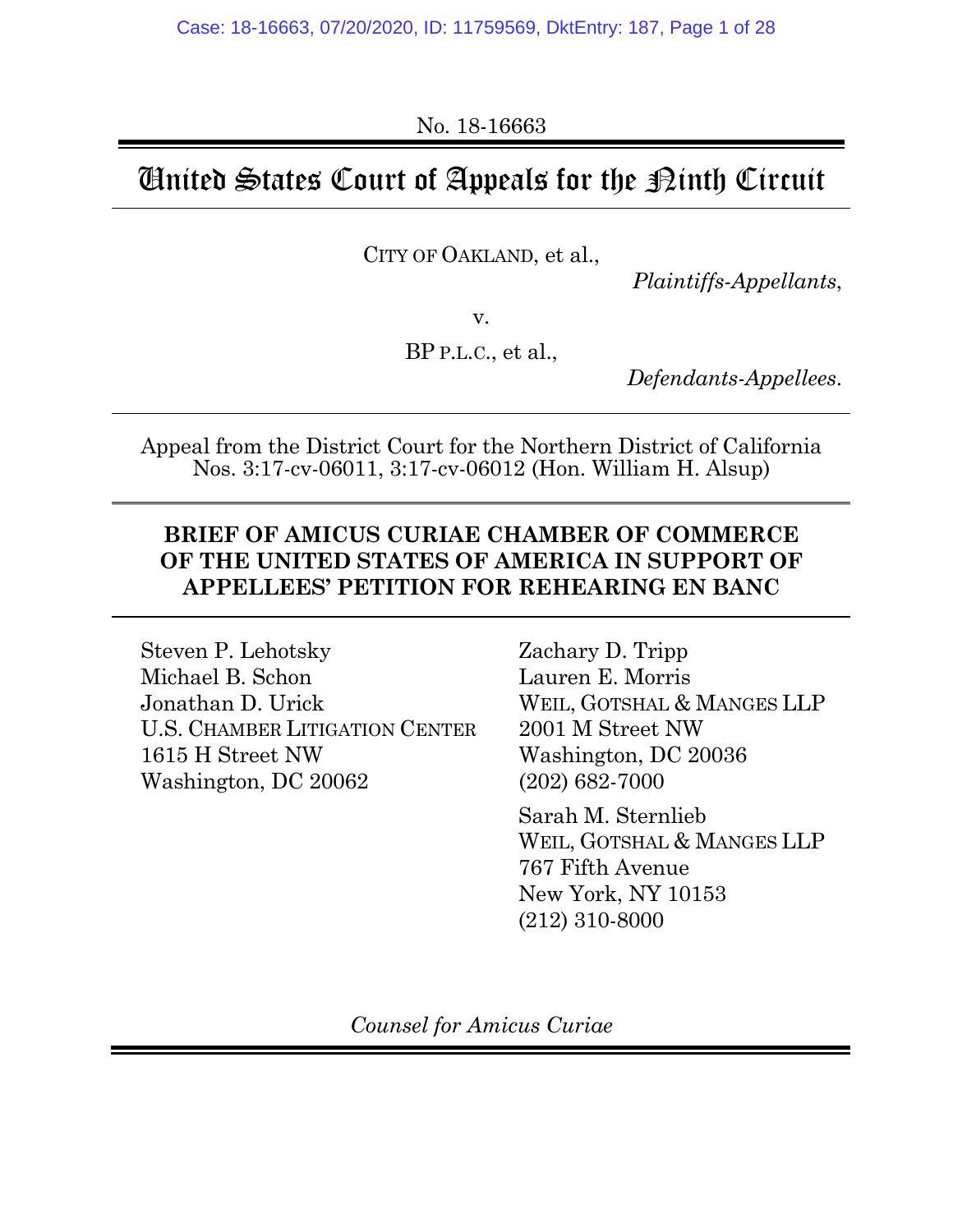No. 18-16663

# United States Court of Appeals for the Ninth Circuit

CITY OF OAKLAND, et al.,

*Plaintiffs-Appellants*,

v.

BP P.L.C., et al.,

*Defendants-Appellees*.

Appeal from the District Court for the Northern District of California Nos. 3:17-cv-06011, 3:17-cv-06012 (Hon. William H. Alsup)

### **BRIEF OF AMICUS CURIAE CHAMBER OF COMMERCE OF THE UNITED STATES OF AMERICA IN SUPPORT OF APPELLEES' PETITION FOR REHEARING EN BANC**

Steven P. Lehotsky Michael B. Schon Jonathan D. Urick U.S. CHAMBER LITIGATION CENTER 1615 H Street NW Washington, DC 20062

Zachary D. Tripp Lauren E. Morris WEIL, GOTSHAL & MANGES LLP 2001 M Street NW Washington, DC 20036 (202) 682-7000

Sarah M. Sternlieb WEIL, GOTSHAL & MANGES LLP 767 Fifth Avenue New York, NY 10153 (212) 310-8000

*Counsel for Amicus Curiae*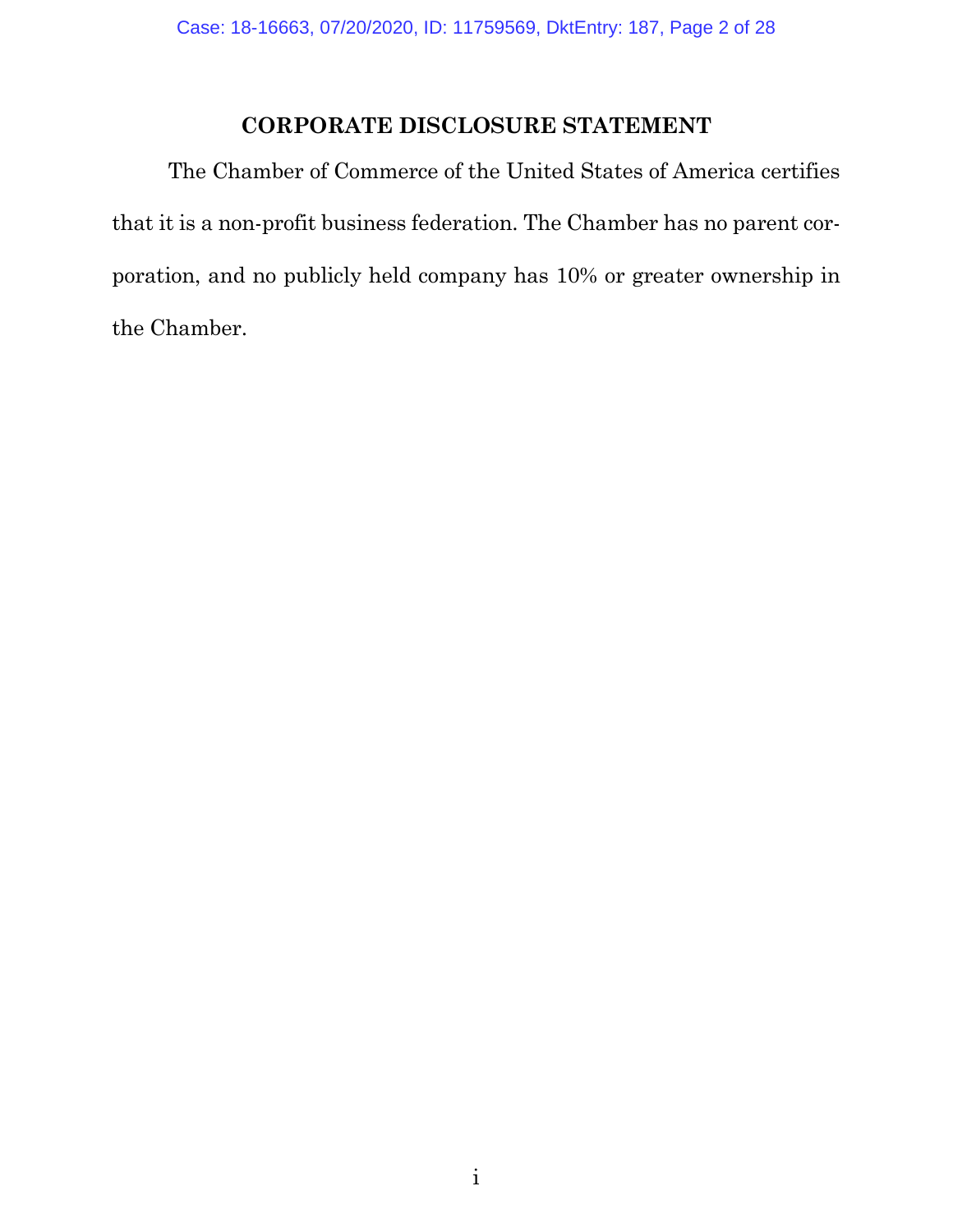## **CORPORATE DISCLOSURE STATEMENT**

The Chamber of Commerce of the United States of America certifies that it is a non-profit business federation. The Chamber has no parent corporation, and no publicly held company has 10% or greater ownership in the Chamber.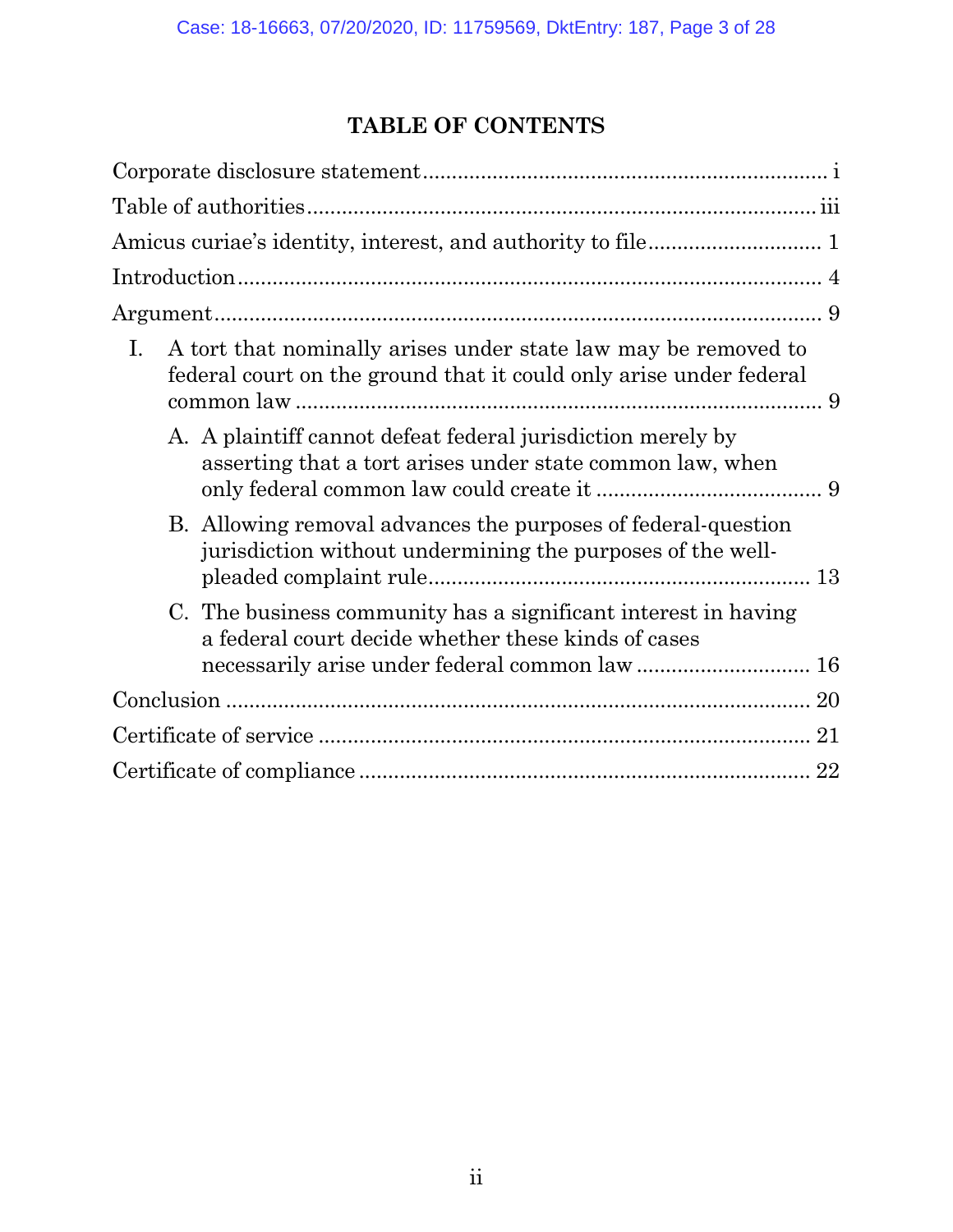## **TABLE OF CONTENTS**

| Ι.<br>A tort that nominally arises under state law may be removed to<br>federal court on the ground that it could only arise under federal |
|--------------------------------------------------------------------------------------------------------------------------------------------|
| A. A plaintiff cannot defeat federal jurisdiction merely by<br>asserting that a tort arises under state common law, when                   |
| B. Allowing removal advances the purposes of federal-question<br>jurisdiction without undermining the purposes of the well-                |
| C. The business community has a significant interest in having<br>a federal court decide whether these kinds of cases                      |
|                                                                                                                                            |
|                                                                                                                                            |
|                                                                                                                                            |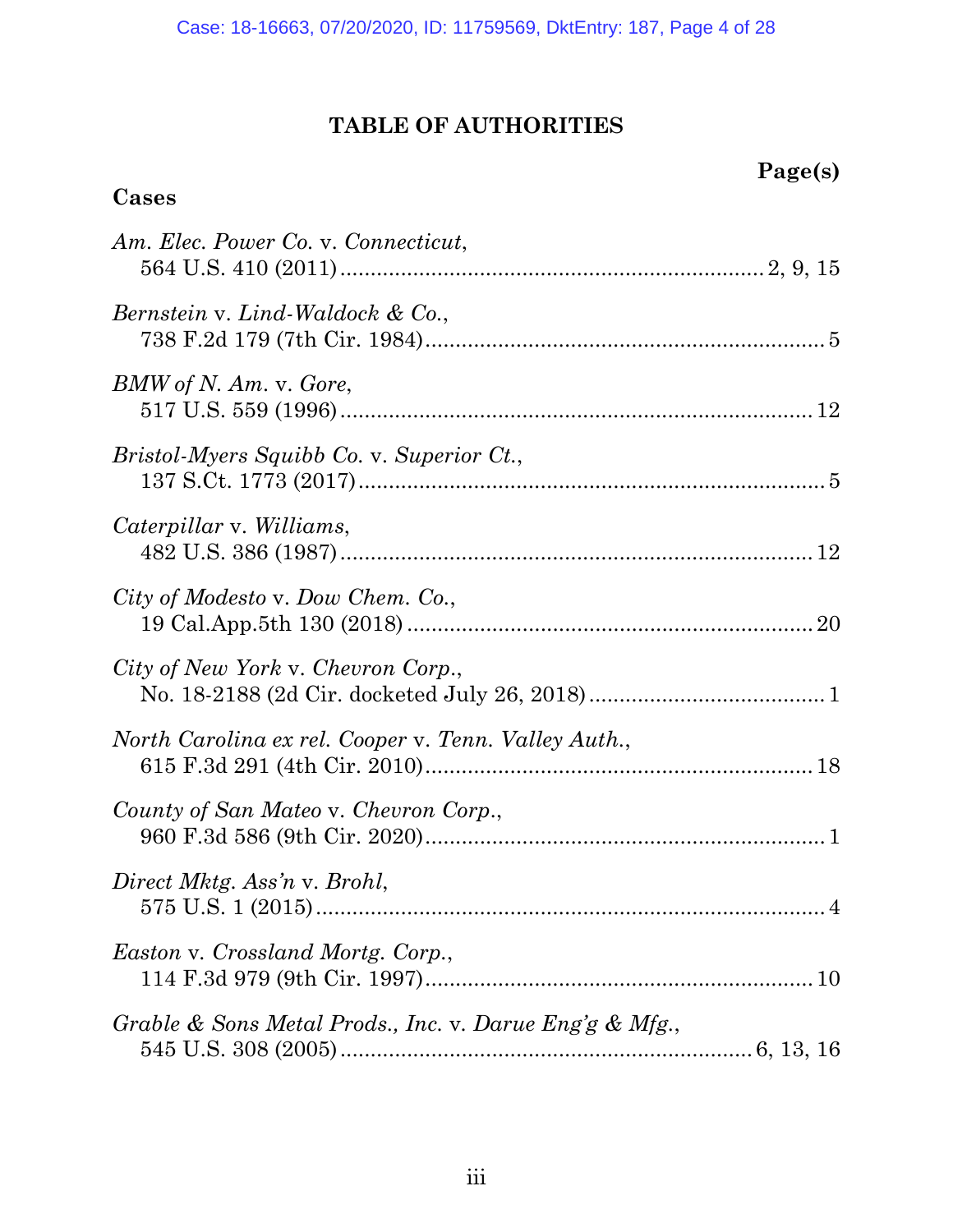## **TABLE OF AUTHORITIES**

## **Page(s)**

## **Cases**

| Am. Elec. Power Co. v. Connecticut,                     |
|---------------------------------------------------------|
| Bernstein v. Lind-Waldock & Co.,                        |
| BMW of N. Am. v. Gore,                                  |
| Bristol-Myers Squibb Co. v. Superior Ct.,               |
| Caterpillar v. Williams,                                |
| City of Modesto v. Dow Chem. Co.,                       |
| City of New York v. Chevron Corp.,                      |
| North Carolina ex rel. Cooper v. Tenn. Valley Auth.,    |
| County of San Mateo v. Chevron Corp.,                   |
| Direct Mktg. Ass'n v. Brohl,                            |
| <i>Easton v. Crossland Mortg. Corp.,</i>                |
| Grable & Sons Metal Prods., Inc. v. Darue Eng'g & Mfg., |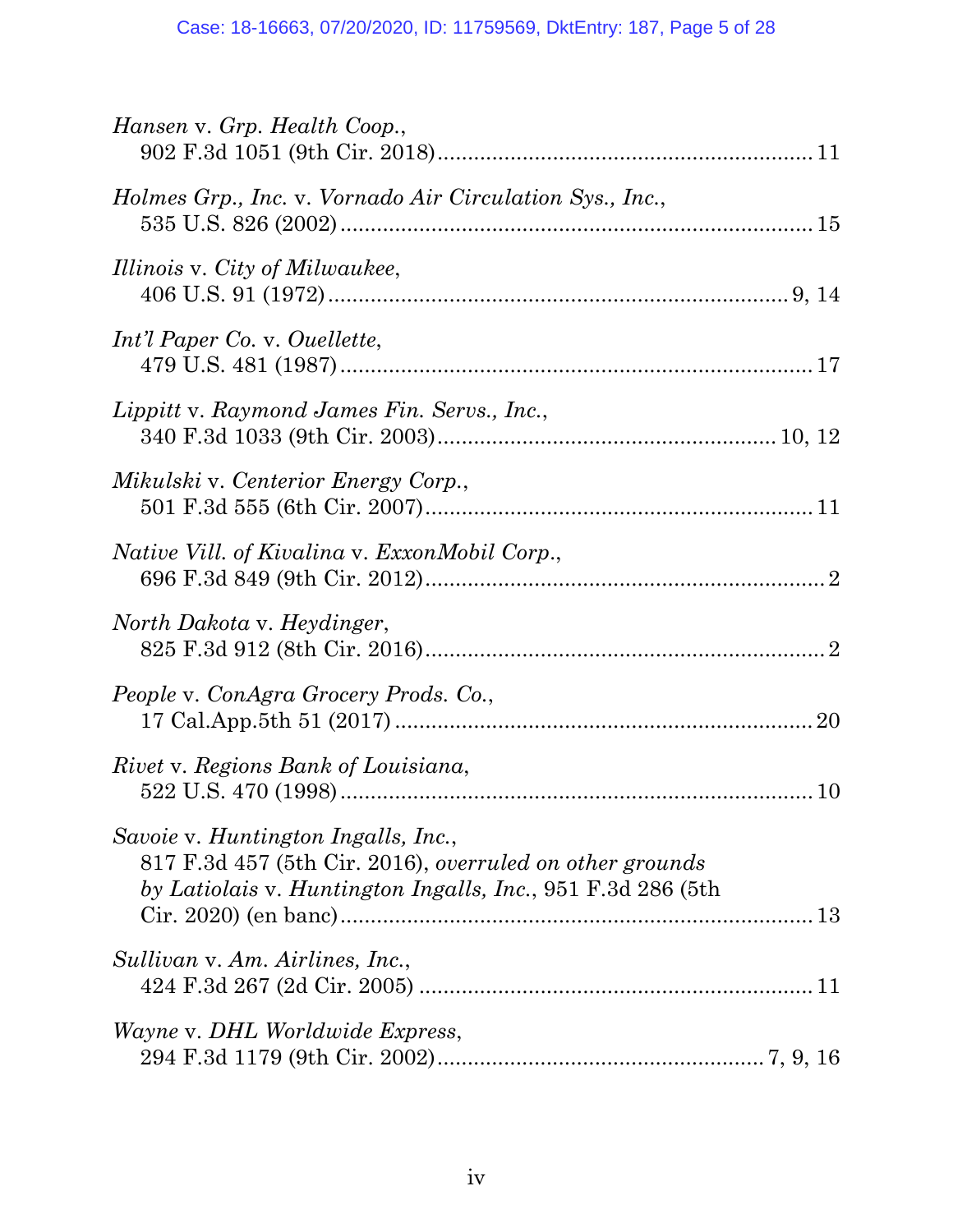| Hansen v. Grp. Health Coop.,                                                                                                                                   |
|----------------------------------------------------------------------------------------------------------------------------------------------------------------|
| Holmes Grp., Inc. v. Vornado Air Circulation Sys., Inc.,                                                                                                       |
| Illinois v. City of Milwaukee,                                                                                                                                 |
| Int'l Paper Co. v. Ouellette,                                                                                                                                  |
| Lippitt v. Raymond James Fin. Servs., Inc.,                                                                                                                    |
| Mikulski v. Centerior Energy Corp.,                                                                                                                            |
| Native Vill. of Kivalina v. ExxonMobil Corp.,                                                                                                                  |
| North Dakota v. Heydinger,                                                                                                                                     |
| People v. ConAgra Grocery Prods. Co.,                                                                                                                          |
| Rivet v. Regions Bank of Louisiana,                                                                                                                            |
| Savoie v. Huntington Ingalls, Inc.,<br>817 F.3d 457 (5th Cir. 2016), overruled on other grounds<br>by Latiolais v. Huntington Ingalls, Inc., 951 F.3d 286 (5th |
| Sullivan v. Am. Airlines, Inc.,                                                                                                                                |
| <i>Wayne</i> v. DHL Worldwide Express,                                                                                                                         |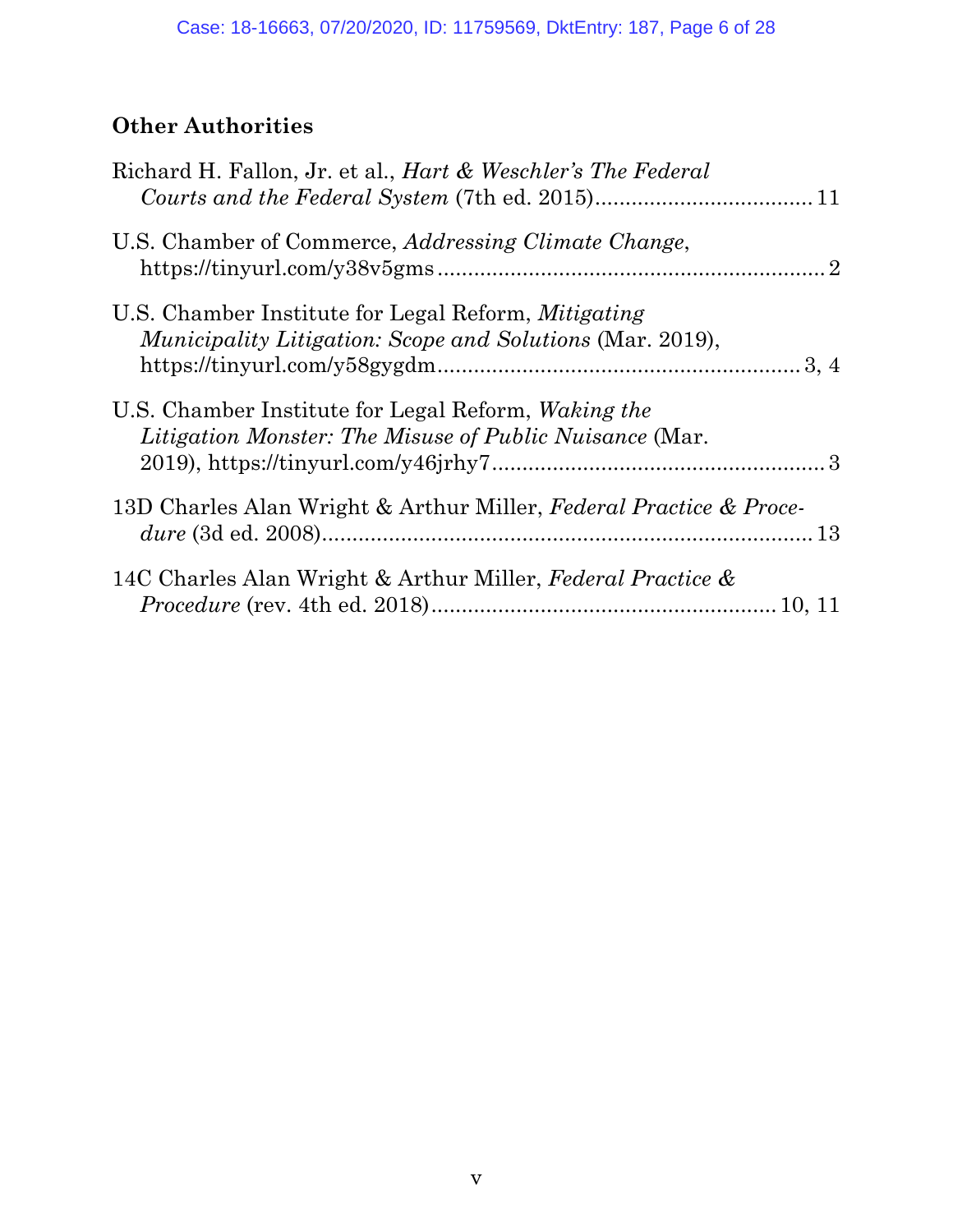## **Other Authorities**

| Richard H. Fallon, Jr. et al., <i>Hart &amp; Weschler's The Federal</i>                                                 |  |
|-------------------------------------------------------------------------------------------------------------------------|--|
| U.S. Chamber of Commerce, <i>Addressing Climate Change</i> ,                                                            |  |
| U.S. Chamber Institute for Legal Reform, Mitigating<br><i>Municipality Litigation: Scope and Solutions (Mar. 2019),</i> |  |
| U.S. Chamber Institute for Legal Reform, Waking the<br><i>Litigation Monster: The Misuse of Public Nuisance (Mar.</i>   |  |
| 13D Charles Alan Wright & Arthur Miller, Federal Practice & Proce-                                                      |  |
| 14C Charles Alan Wright & Arthur Miller, Federal Practice &                                                             |  |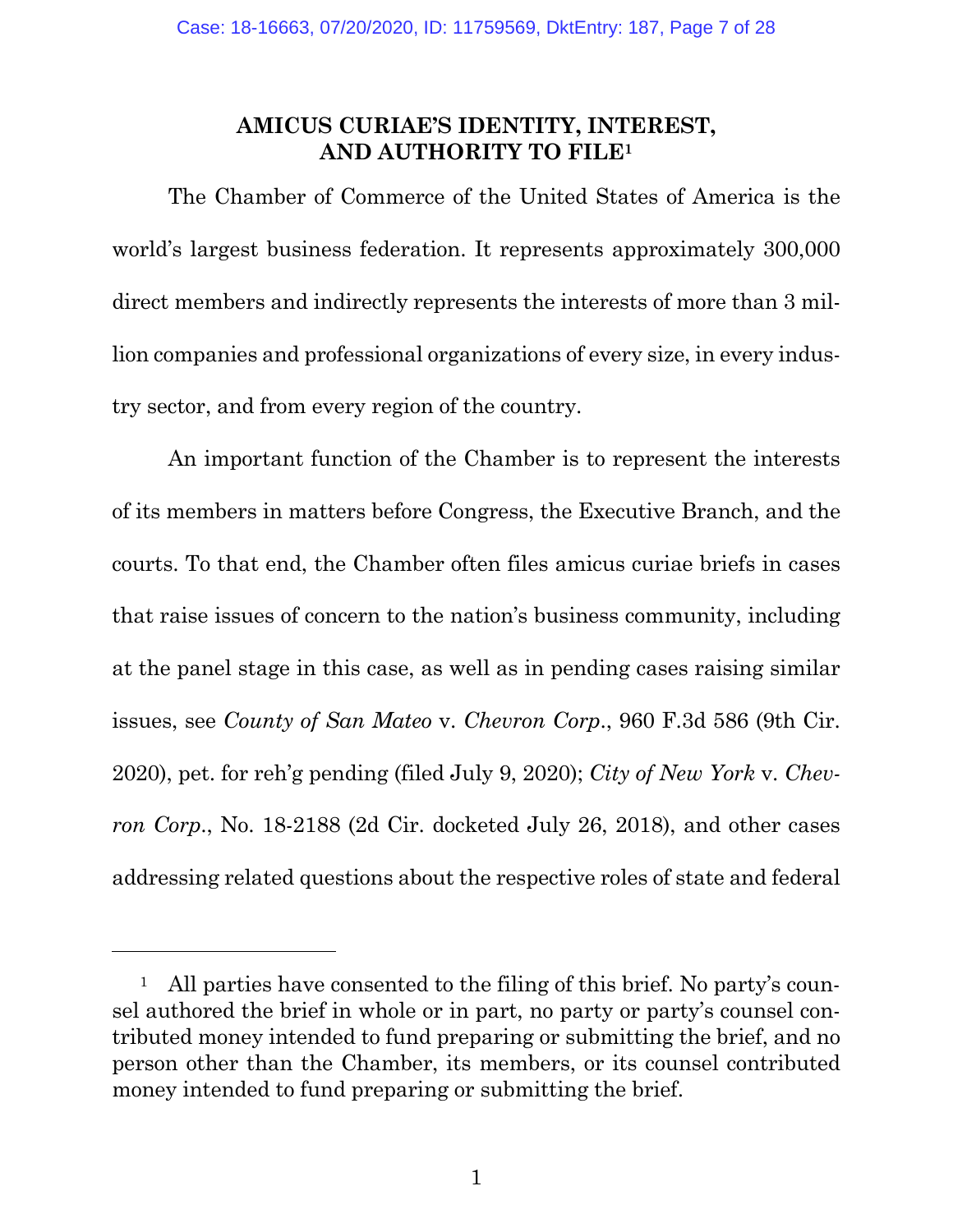### **AMICUS CURIAE'S IDENTITY, INTEREST, AND AUTHORITY TO FILE1**

The Chamber of Commerce of the United States of America is the world's largest business federation. It represents approximately 300,000 direct members and indirectly represents the interests of more than 3 million companies and professional organizations of every size, in every industry sector, and from every region of the country.

An important function of the Chamber is to represent the interests of its members in matters before Congress, the Executive Branch, and the courts. To that end, the Chamber often files amicus curiae briefs in cases that raise issues of concern to the nation's business community, including at the panel stage in this case, as well as in pending cases raising similar issues, see *County of San Mateo* v. *Chevron Corp*., 960 F.3d 586 (9th Cir. 2020), pet. for reh'g pending (filed July 9, 2020); *City of New York* v. *Chevron Corp*., No. 18-2188 (2d Cir. docketed July 26, 2018), and other cases addressing related questions about the respective roles of state and federal

l

<sup>&</sup>lt;sup>1</sup> All parties have consented to the filing of this brief. No party's counsel authored the brief in whole or in part, no party or party's counsel contributed money intended to fund preparing or submitting the brief, and no person other than the Chamber, its members, or its counsel contributed money intended to fund preparing or submitting the brief.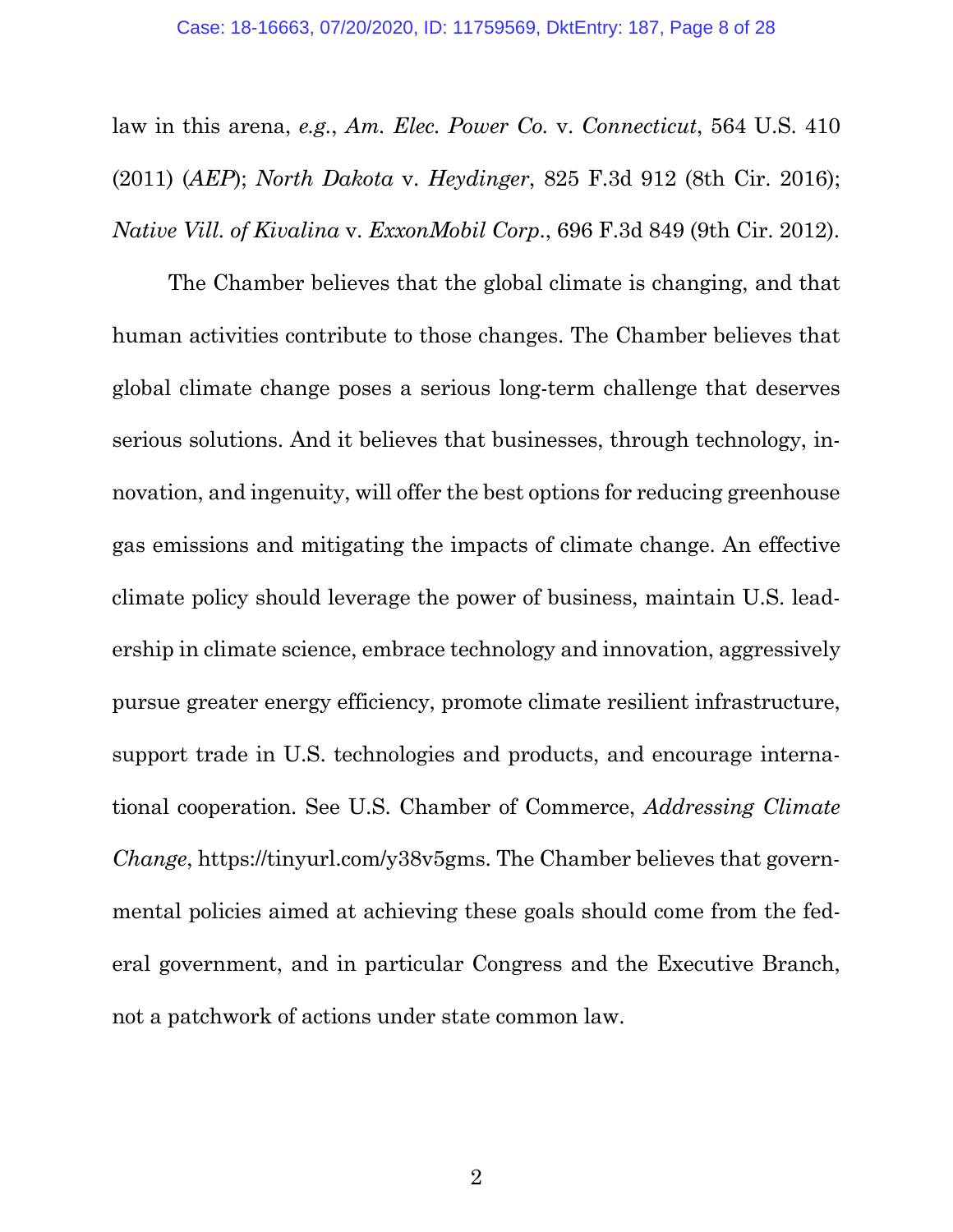law in this arena, *e.g.*, *Am. Elec. Power Co.* v. *Connecticut*, 564 U.S. 410 (2011) (*AEP*); *North Dakota* v. *Heydinger*, 825 F.3d 912 (8th Cir. 2016); *Native Vill. of Kivalina* v. *ExxonMobil Corp*., 696 F.3d 849 (9th Cir. 2012).

The Chamber believes that the global climate is changing, and that human activities contribute to those changes. The Chamber believes that global climate change poses a serious long-term challenge that deserves serious solutions. And it believes that businesses, through technology, innovation, and ingenuity, will offer the best options for reducing greenhouse gas emissions and mitigating the impacts of climate change. An effective climate policy should leverage the power of business, maintain U.S. leadership in climate science, embrace technology and innovation, aggressively pursue greater energy efficiency, promote climate resilient infrastructure, support trade in U.S. technologies and products, and encourage international cooperation. See U.S. Chamber of Commerce, *Addressing Climate Change*, https://tinyurl.com/y38v5gms. The Chamber believes that governmental policies aimed at achieving these goals should come from the federal government, and in particular Congress and the Executive Branch, not a patchwork of actions under state common law.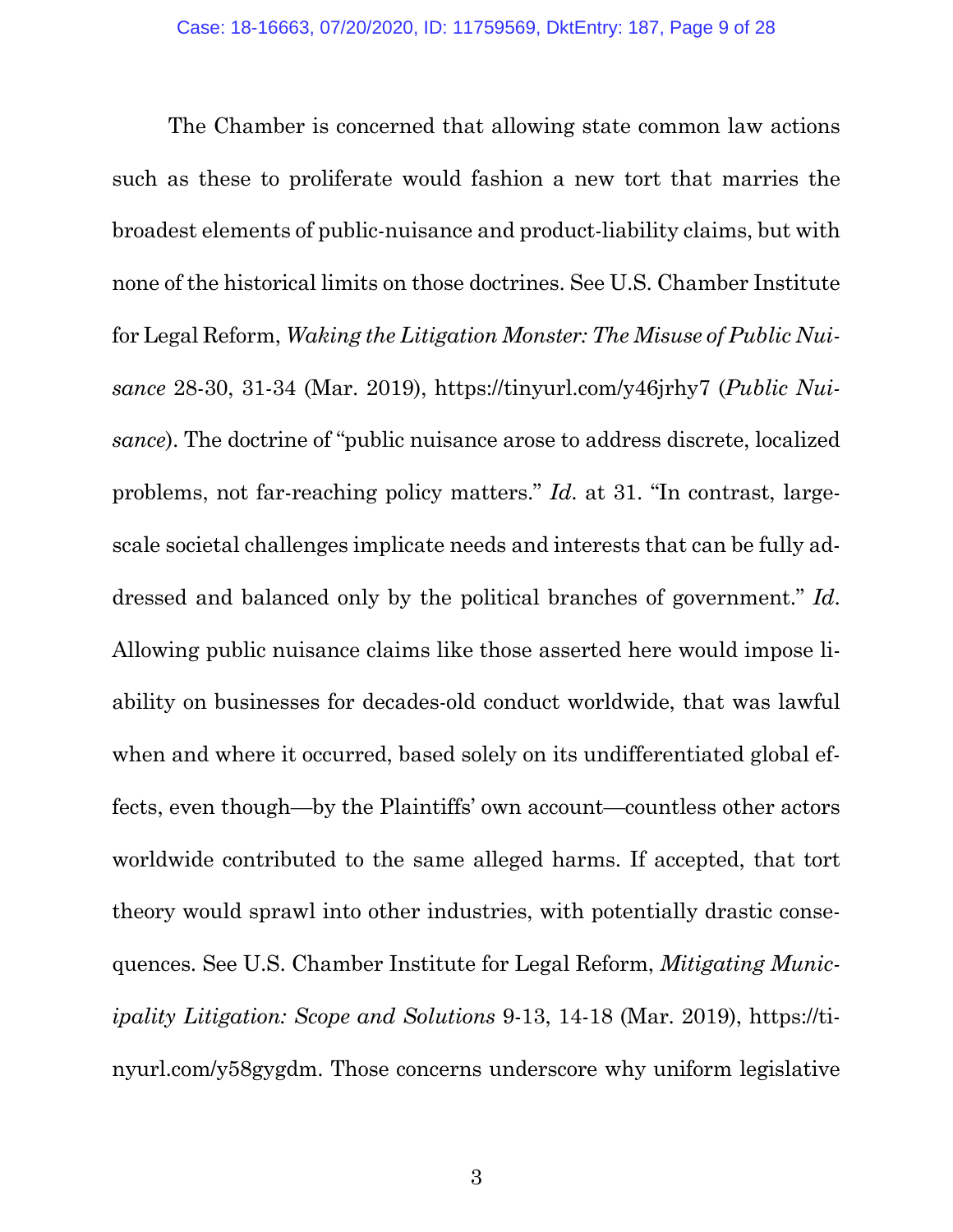The Chamber is concerned that allowing state common law actions such as these to proliferate would fashion a new tort that marries the broadest elements of public-nuisance and product-liability claims, but with none of the historical limits on those doctrines. See U.S. Chamber Institute for Legal Reform, *Waking the Litigation Monster: The Misuse of Public Nuisance* 28-30, 31-34 (Mar. 2019), https://tinyurl.com/y46jrhy7 (*Public Nuisance*). The doctrine of "public nuisance arose to address discrete, localized problems, not far-reaching policy matters." *Id*. at 31. "In contrast, largescale societal challenges implicate needs and interests that can be fully addressed and balanced only by the political branches of government." *Id*. Allowing public nuisance claims like those asserted here would impose liability on businesses for decades-old conduct worldwide, that was lawful when and where it occurred, based solely on its undifferentiated global effects, even though—by the Plaintiffs' own account—countless other actors worldwide contributed to the same alleged harms. If accepted, that tort theory would sprawl into other industries, with potentially drastic consequences. See U.S. Chamber Institute for Legal Reform, *Mitigating Municipality Litigation: Scope and Solutions* 9-13, 14-18 (Mar. 2019), https://tinyurl.com/y58gygdm. Those concerns underscore why uniform legislative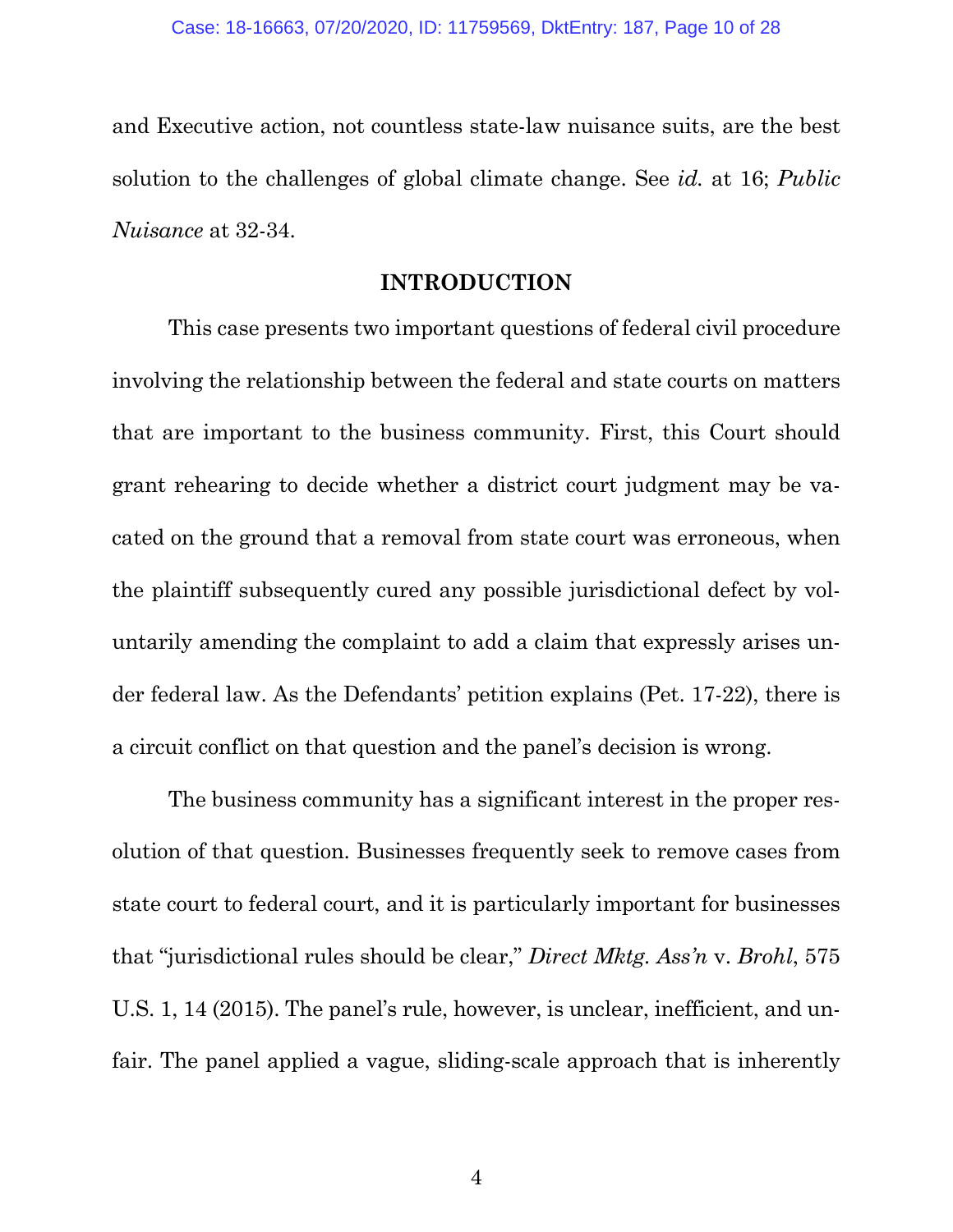and Executive action, not countless state-law nuisance suits, are the best solution to the challenges of global climate change. See *id.* at 16; *Public Nuisance* at 32-34.

#### **INTRODUCTION**

This case presents two important questions of federal civil procedure involving the relationship between the federal and state courts on matters that are important to the business community. First, this Court should grant rehearing to decide whether a district court judgment may be vacated on the ground that a removal from state court was erroneous, when the plaintiff subsequently cured any possible jurisdictional defect by voluntarily amending the complaint to add a claim that expressly arises under federal law. As the Defendants' petition explains (Pet. 17-22), there is a circuit conflict on that question and the panel's decision is wrong.

The business community has a significant interest in the proper resolution of that question. Businesses frequently seek to remove cases from state court to federal court, and it is particularly important for businesses that "jurisdictional rules should be clear," *Direct Mktg. Ass'n* v. *Brohl*, 575 U.S. 1, 14 (2015). The panel's rule, however, is unclear, inefficient, and unfair. The panel applied a vague, sliding-scale approach that is inherently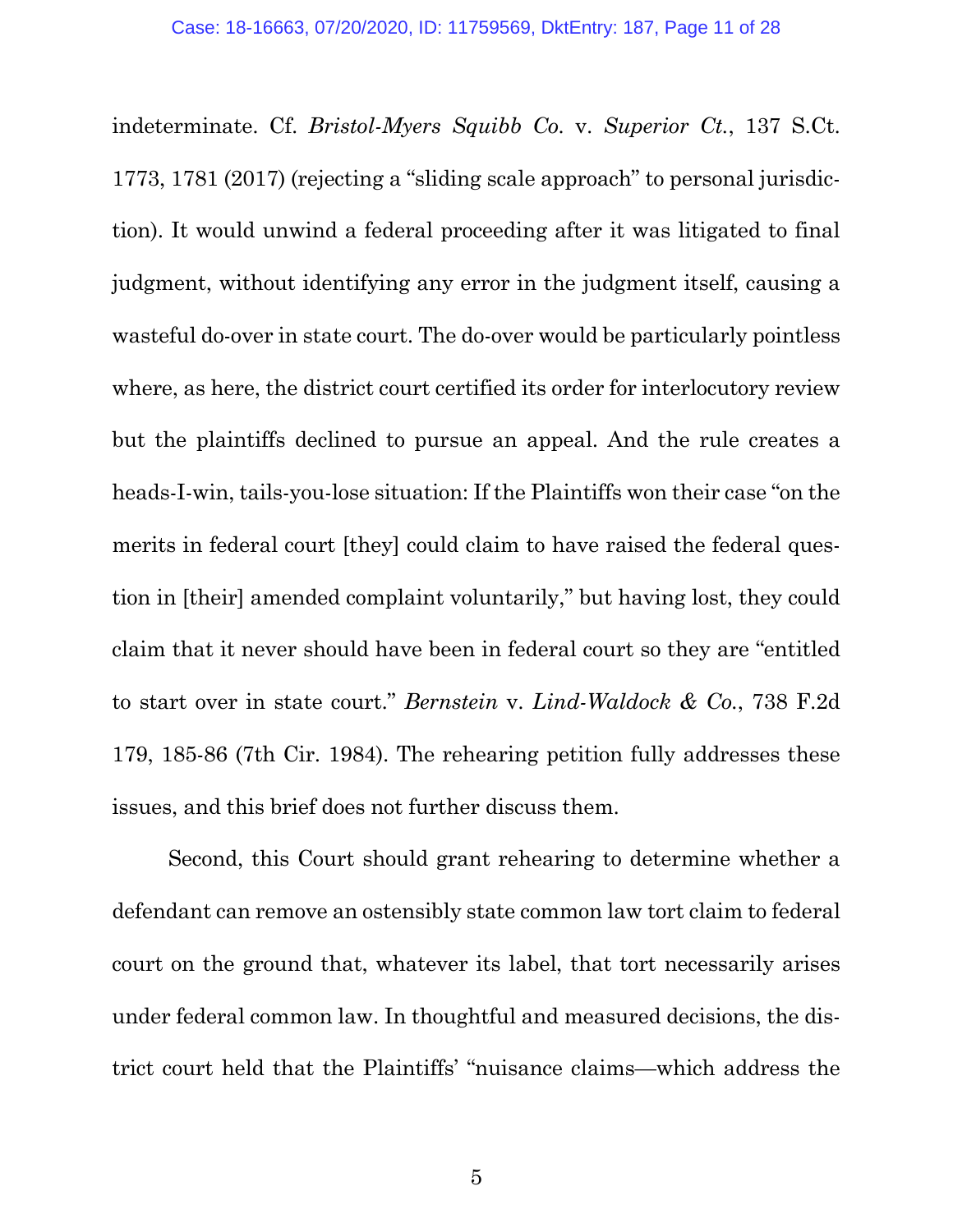indeterminate. Cf. *Bristol-Myers Squibb Co.* v. *Superior Ct.*, 137 S.Ct. 1773, 1781 (2017) (rejecting a "sliding scale approach" to personal jurisdiction). It would unwind a federal proceeding after it was litigated to final judgment, without identifying any error in the judgment itself, causing a wasteful do-over in state court. The do-over would be particularly pointless where, as here, the district court certified its order for interlocutory review but the plaintiffs declined to pursue an appeal. And the rule creates a heads-I-win, tails-you-lose situation: If the Plaintiffs won their case "on the merits in federal court [they] could claim to have raised the federal question in [their] amended complaint voluntarily," but having lost, they could claim that it never should have been in federal court so they are "entitled to start over in state court." *Bernstein* v. *Lind-Waldock & Co.*, 738 F.2d 179, 185-86 (7th Cir. 1984). The rehearing petition fully addresses these issues, and this brief does not further discuss them.

Second, this Court should grant rehearing to determine whether a defendant can remove an ostensibly state common law tort claim to federal court on the ground that, whatever its label, that tort necessarily arises under federal common law. In thoughtful and measured decisions, the district court held that the Plaintiffs' "nuisance claims—which address the

 $5<sup>5</sup>$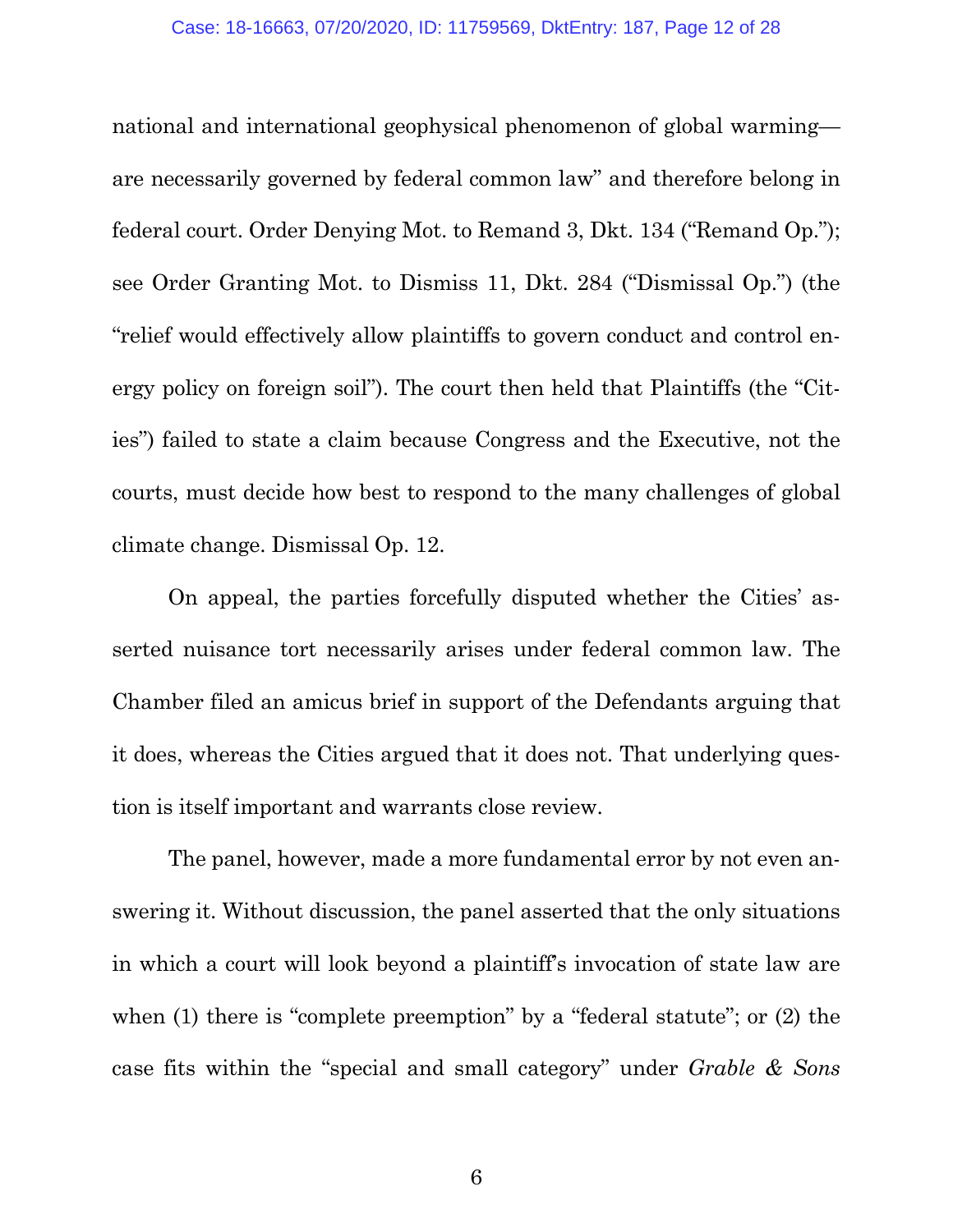national and international geophysical phenomenon of global warming are necessarily governed by federal common law" and therefore belong in federal court. Order Denying Mot. to Remand 3, Dkt. 134 ("Remand Op."); see Order Granting Mot. to Dismiss 11, Dkt. 284 ("Dismissal Op.") (the "relief would effectively allow plaintiffs to govern conduct and control energy policy on foreign soil"). The court then held that Plaintiffs (the "Cities") failed to state a claim because Congress and the Executive, not the courts, must decide how best to respond to the many challenges of global climate change. Dismissal Op. 12.

On appeal, the parties forcefully disputed whether the Cities' asserted nuisance tort necessarily arises under federal common law. The Chamber filed an amicus brief in support of the Defendants arguing that it does, whereas the Cities argued that it does not. That underlying question is itself important and warrants close review.

The panel, however, made a more fundamental error by not even answering it. Without discussion, the panel asserted that the only situations in which a court will look beyond a plaintiff's invocation of state law are when (1) there is "complete preemption" by a "federal statute"; or (2) the case fits within the "special and small category" under *Grable & Sons*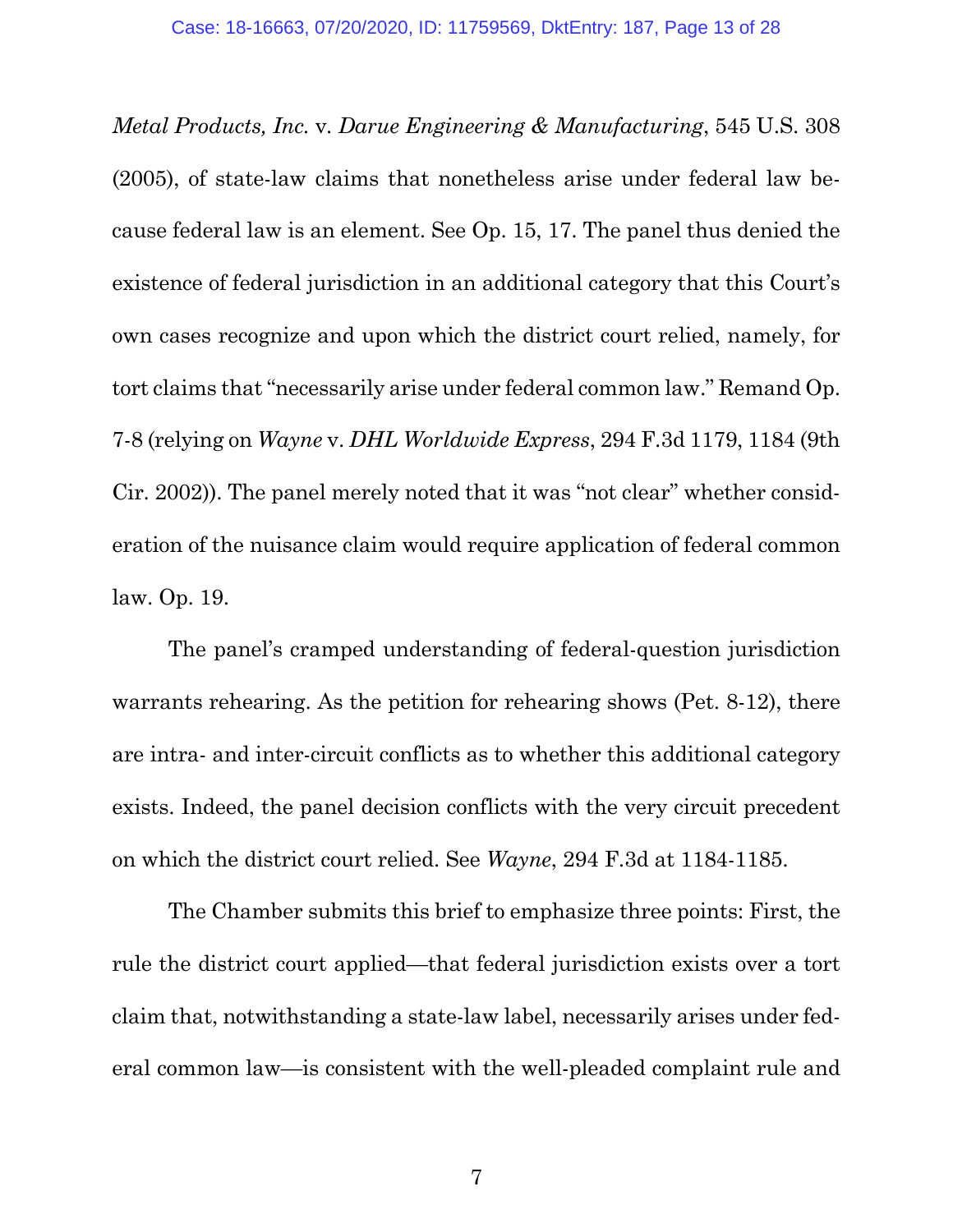*Metal Products, Inc.* v*. Darue Engineering & Manufacturing*, 545 U.S. 308 (2005), of state-law claims that nonetheless arise under federal law because federal law is an element. See Op. 15, 17. The panel thus denied the existence of federal jurisdiction in an additional category that this Court's own cases recognize and upon which the district court relied, namely, for tort claims that "necessarily arise under federal common law." Remand Op. 7-8 (relying on *Wayne* v. *DHL Worldwide Express*, 294 F.3d 1179, 1184 (9th Cir. 2002)). The panel merely noted that it was "not clear" whether consideration of the nuisance claim would require application of federal common law. Op. 19.

The panel's cramped understanding of federal-question jurisdiction warrants rehearing. As the petition for rehearing shows (Pet. 8-12), there are intra- and inter-circuit conflicts as to whether this additional category exists. Indeed, the panel decision conflicts with the very circuit precedent on which the district court relied. See *Wayne*, 294 F.3d at 1184-1185.

The Chamber submits this brief to emphasize three points: First, the rule the district court applied—that federal jurisdiction exists over a tort claim that, notwithstanding a state-law label, necessarily arises under federal common law—is consistent with the well-pleaded complaint rule and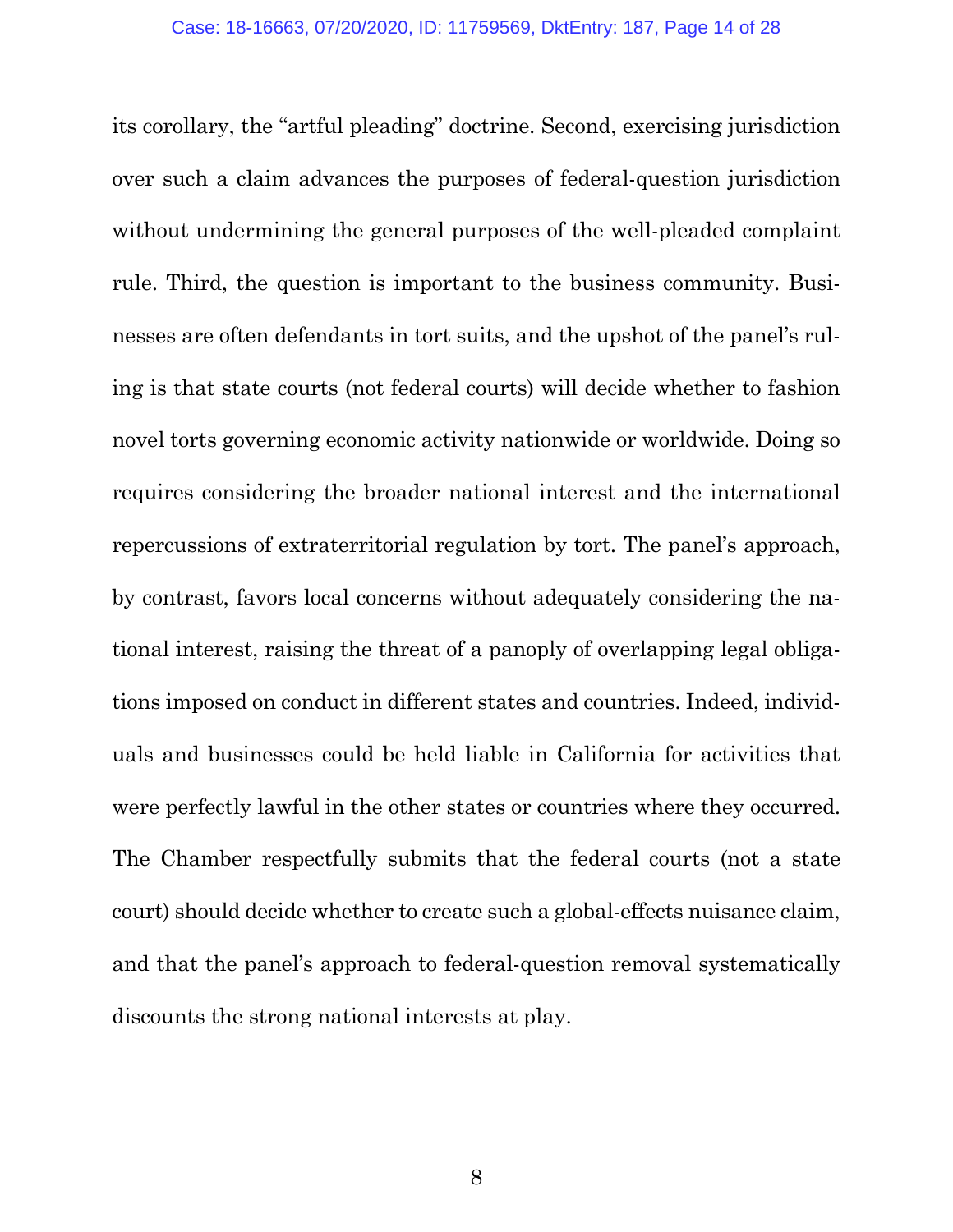its corollary, the "artful pleading" doctrine. Second, exercising jurisdiction over such a claim advances the purposes of federal-question jurisdiction without undermining the general purposes of the well-pleaded complaint rule. Third, the question is important to the business community. Businesses are often defendants in tort suits, and the upshot of the panel's ruling is that state courts (not federal courts) will decide whether to fashion novel torts governing economic activity nationwide or worldwide. Doing so requires considering the broader national interest and the international repercussions of extraterritorial regulation by tort. The panel's approach, by contrast, favors local concerns without adequately considering the national interest, raising the threat of a panoply of overlapping legal obligations imposed on conduct in different states and countries. Indeed, individuals and businesses could be held liable in California for activities that were perfectly lawful in the other states or countries where they occurred. The Chamber respectfully submits that the federal courts (not a state court) should decide whether to create such a global-effects nuisance claim, and that the panel's approach to federal-question removal systematically discounts the strong national interests at play.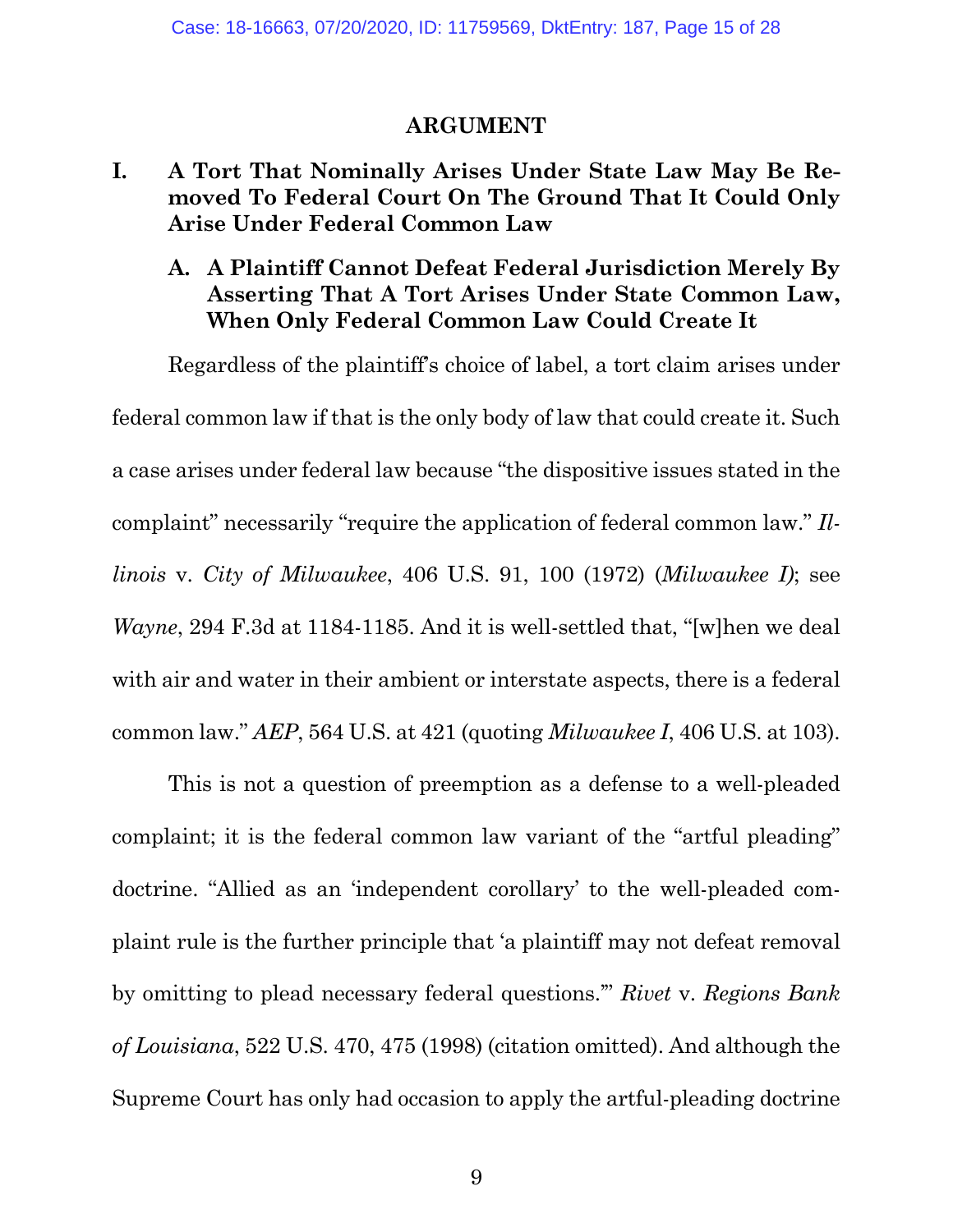#### **ARGUMENT**

### **I. A Tort That Nominally Arises Under State Law May Be Removed To Federal Court On The Ground That It Could Only Arise Under Federal Common Law**

## **A. A Plaintiff Cannot Defeat Federal Jurisdiction Merely By Asserting That A Tort Arises Under State Common Law, When Only Federal Common Law Could Create It**

Regardless of the plaintiff's choice of label, a tort claim arises under federal common law if that is the only body of law that could create it. Such a case arises under federal law because "the dispositive issues stated in the complaint" necessarily "require the application of federal common law." *Illinois* v. *City of Milwaukee*, 406 U.S. 91, 100 (1972) (*Milwaukee I)*; see *Wayne*, 294 F.3d at 1184-1185. And it is well-settled that, "[w]hen we deal with air and water in their ambient or interstate aspects, there is a federal common law." *AEP*, 564 U.S. at 421 (quoting *Milwaukee I*, 406 U.S. at 103).

This is not a question of preemption as a defense to a well-pleaded complaint; it is the federal common law variant of the "artful pleading" doctrine. "Allied as an 'independent corollary' to the well-pleaded complaint rule is the further principle that 'a plaintiff may not defeat removal by omitting to plead necessary federal questions.'" *Rivet* v. *Regions Bank of Louisiana*, 522 U.S. 470, 475 (1998) (citation omitted). And although the Supreme Court has only had occasion to apply the artful-pleading doctrine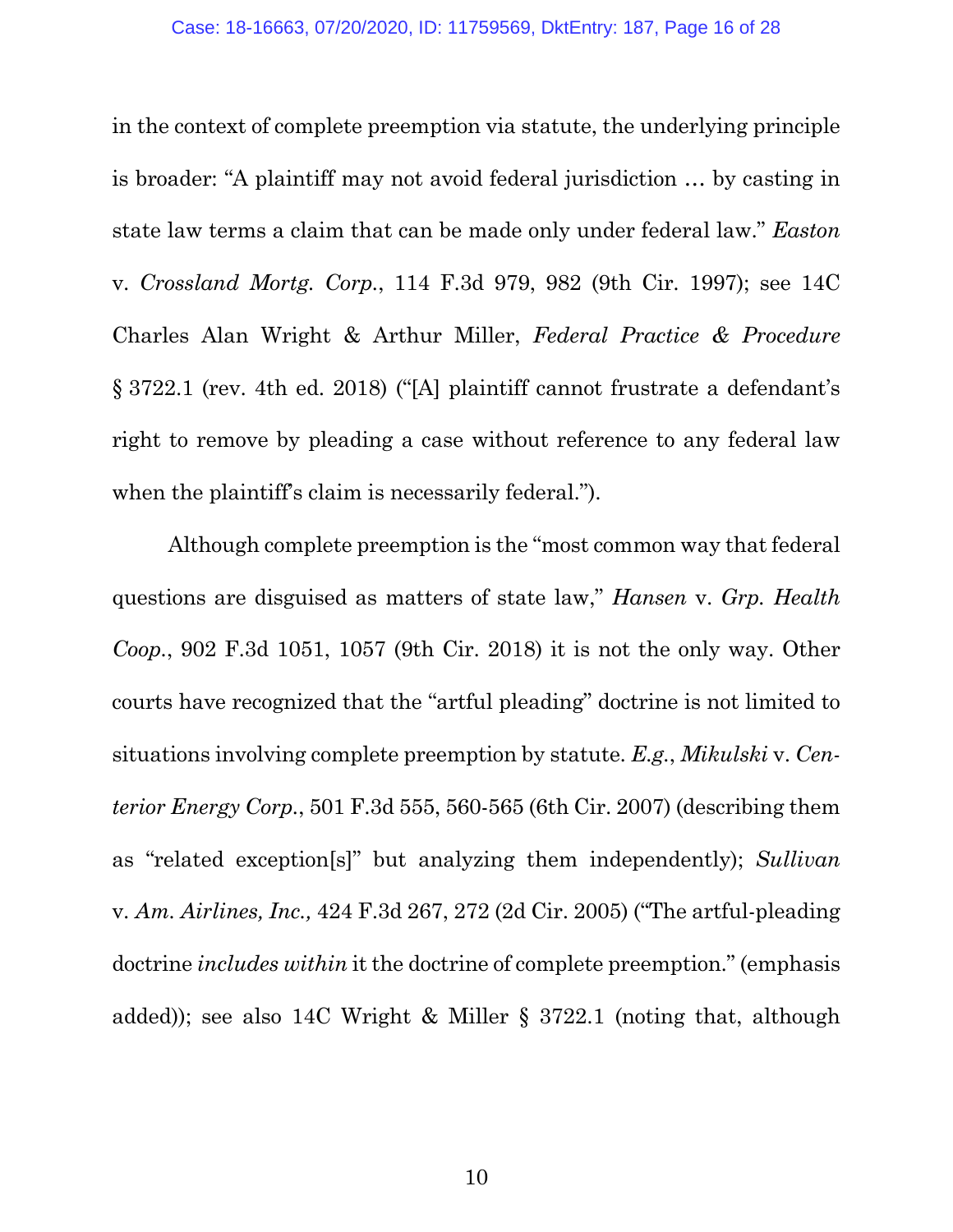in the context of complete preemption via statute, the underlying principle is broader: "A plaintiff may not avoid federal jurisdiction … by casting in state law terms a claim that can be made only under federal law." *Easton*  v. *Crossland Mortg. Corp.*, 114 F.3d 979, 982 (9th Cir. 1997); see 14C Charles Alan Wright & Arthur Miller, *Federal Practice & Procedure* § 3722.1 (rev. 4th ed. 2018) ("[A] plaintiff cannot frustrate a defendant's right to remove by pleading a case without reference to any federal law when the plaintiff's claim is necessarily federal.").

Although complete preemption is the "most common way that federal questions are disguised as matters of state law," *Hansen* v. *Grp. Health Coop.*, 902 F.3d 1051, 1057 (9th Cir. 2018) it is not the only way. Other courts have recognized that the "artful pleading" doctrine is not limited to situations involving complete preemption by statute. *E.g.*, *Mikulski* v. *Centerior Energy Corp.*, 501 F.3d 555, 560-565 (6th Cir. 2007) (describing them as "related exception[s]" but analyzing them independently); *Sullivan*  v. *Am. Airlines, Inc.,* 424 F.3d 267, 272 (2d Cir. 2005) ("The artful-pleading doctrine *includes within* it the doctrine of complete preemption." (emphasis added)); see also 14C Wright & Miller § 3722.1 (noting that, although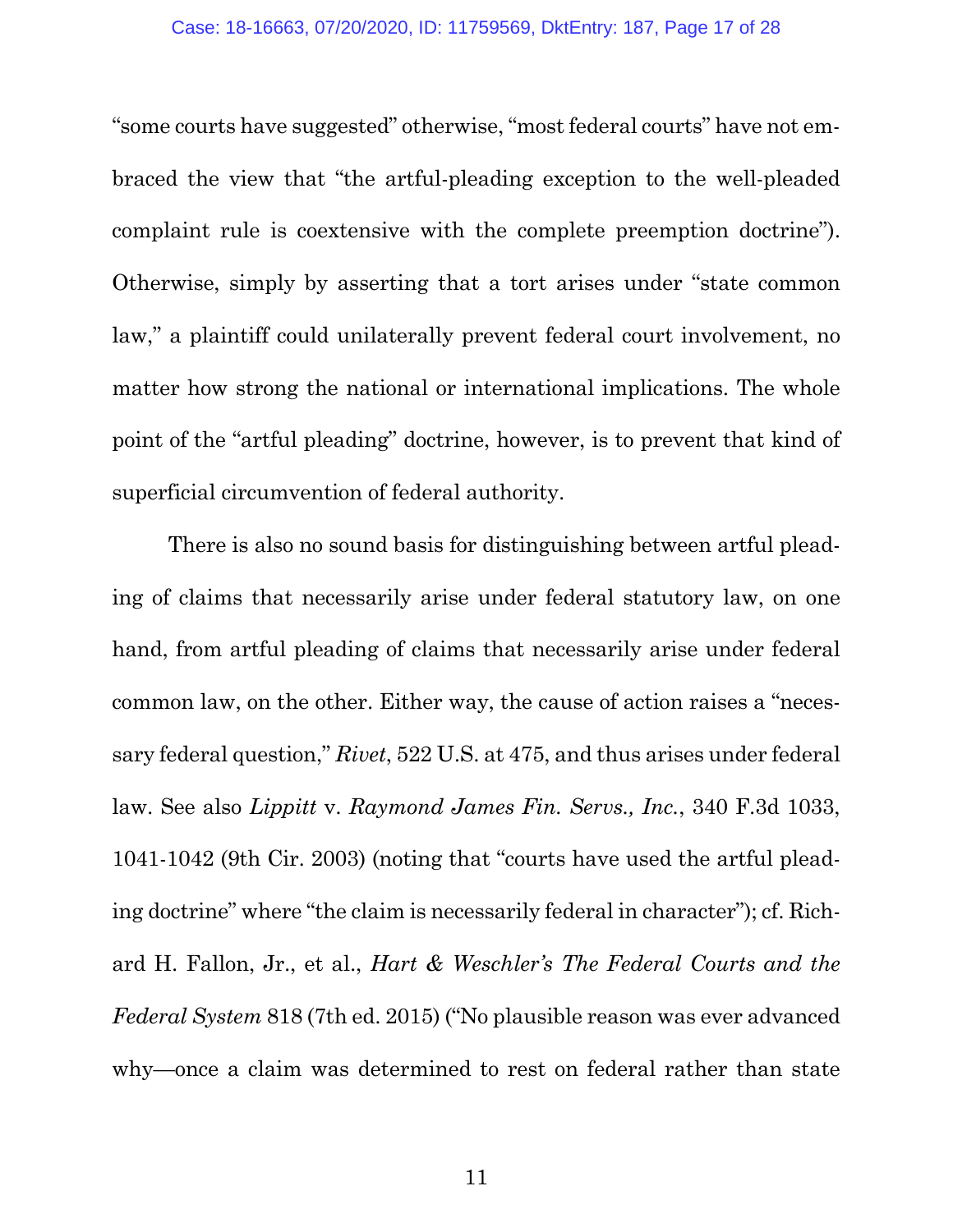"some courts have suggested" otherwise, "most federal courts" have not embraced the view that "the artful-pleading exception to the well-pleaded complaint rule is coextensive with the complete preemption doctrine"). Otherwise, simply by asserting that a tort arises under "state common law," a plaintiff could unilaterally prevent federal court involvement, no matter how strong the national or international implications. The whole point of the "artful pleading" doctrine, however, is to prevent that kind of superficial circumvention of federal authority.

There is also no sound basis for distinguishing between artful pleading of claims that necessarily arise under federal statutory law, on one hand, from artful pleading of claims that necessarily arise under federal common law, on the other. Either way, the cause of action raises a "necessary federal question," *Rivet*, 522 U.S. at 475, and thus arises under federal law. See also *Lippitt* v. *Raymond James Fin. Servs., Inc.*, 340 F.3d 1033, 1041-1042 (9th Cir. 2003) (noting that "courts have used the artful pleading doctrine" where "the claim is necessarily federal in character"); cf. Richard H. Fallon, Jr., et al., *Hart & Weschler's The Federal Courts and the Federal System* 818 (7th ed. 2015) ("No plausible reason was ever advanced why—once a claim was determined to rest on federal rather than state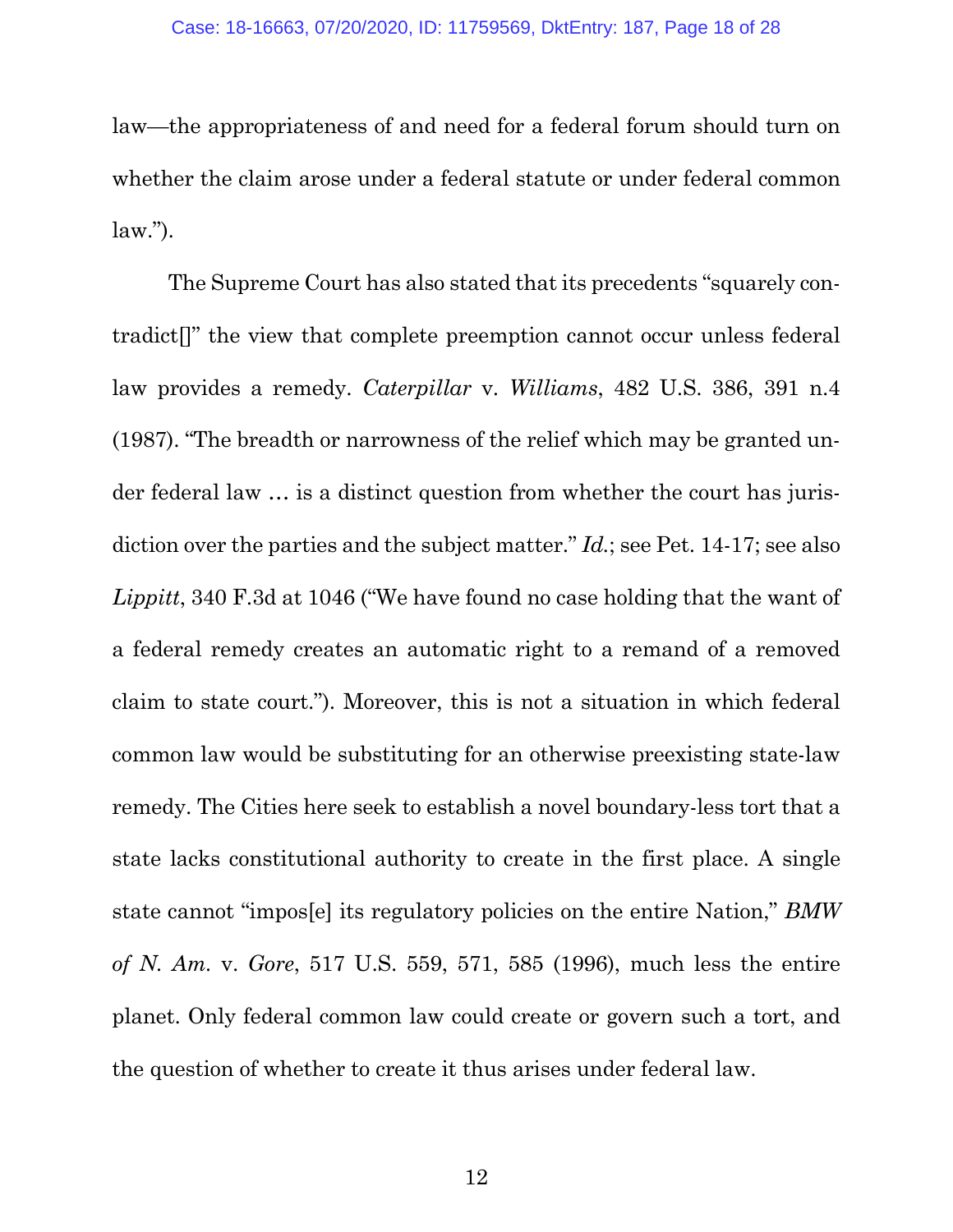law—the appropriateness of and need for a federal forum should turn on whether the claim arose under a federal statute or under federal common  $law.'$ ).

The Supreme Court has also stated that its precedents "squarely contradict[]" the view that complete preemption cannot occur unless federal law provides a remedy. *Caterpillar* v. *Williams*, 482 U.S. 386, 391 n.4 (1987). "The breadth or narrowness of the relief which may be granted under federal law … is a distinct question from whether the court has jurisdiction over the parties and the subject matter." *Id.*; see Pet. 14-17; see also *Lippitt*, 340 F.3d at 1046 ("We have found no case holding that the want of a federal remedy creates an automatic right to a remand of a removed claim to state court."). Moreover, this is not a situation in which federal common law would be substituting for an otherwise preexisting state-law remedy. The Cities here seek to establish a novel boundary-less tort that a state lacks constitutional authority to create in the first place. A single state cannot "impos[e] its regulatory policies on the entire Nation," *BMW of N. Am.* v. *Gore*, 517 U.S. 559, 571, 585 (1996), much less the entire planet. Only federal common law could create or govern such a tort, and the question of whether to create it thus arises under federal law.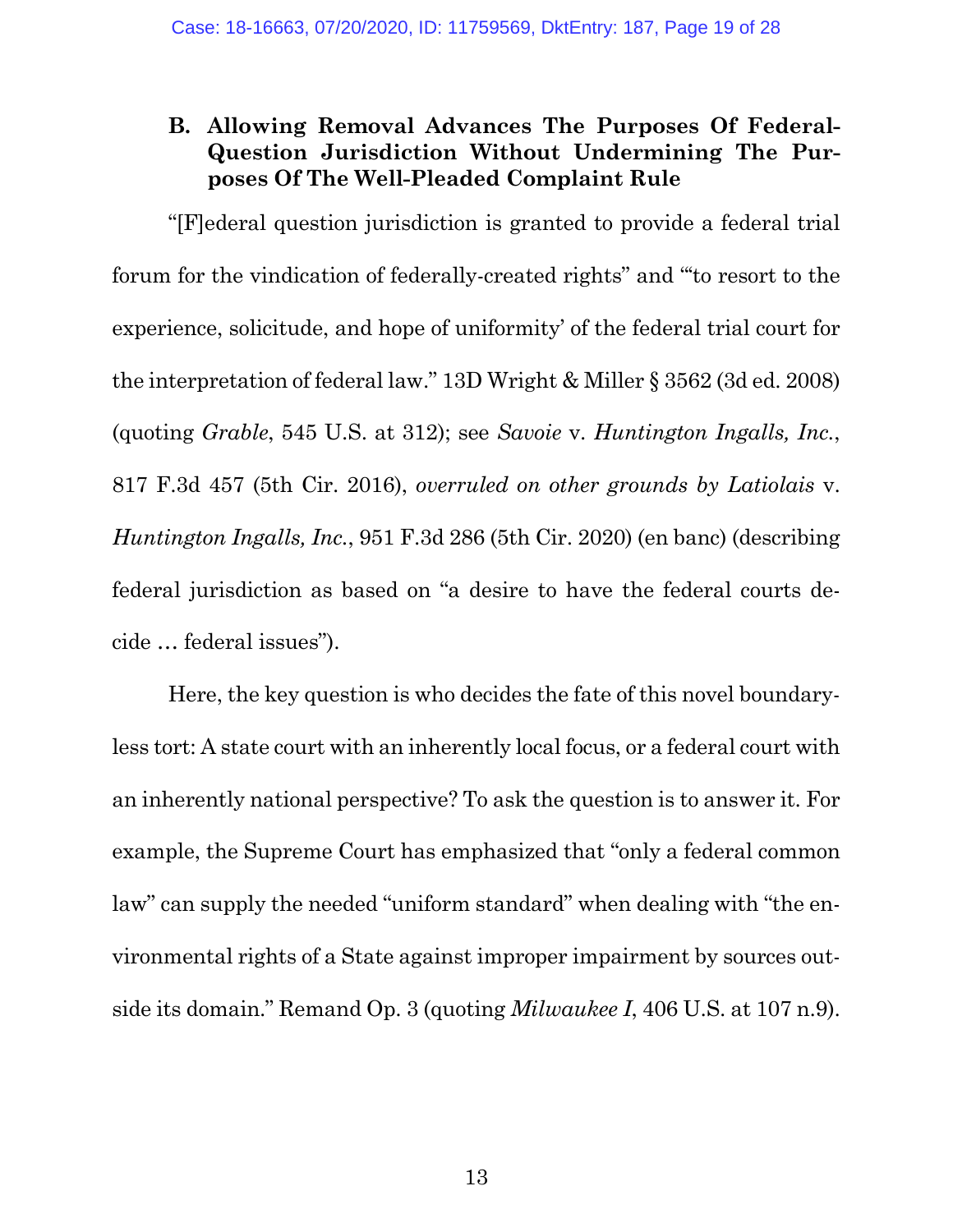## **B. Allowing Removal Advances The Purposes Of Federal-Question Jurisdiction Without Undermining The Purposes Of The Well-Pleaded Complaint Rule**

"[F]ederal question jurisdiction is granted to provide a federal trial forum for the vindication of federally-created rights" and "'to resort to the experience, solicitude, and hope of uniformity' of the federal trial court for the interpretation of federal law." 13D Wright & Miller § 3562 (3d ed. 2008) (quoting *Grable*, 545 U.S. at 312); see *Savoie* v. *Huntington Ingalls, Inc.*, 817 F.3d 457 (5th Cir. 2016), *overruled on other grounds by Latiolais* v. *Huntington Ingalls, Inc.*, 951 F.3d 286 (5th Cir. 2020) (en banc) (describing federal jurisdiction as based on "a desire to have the federal courts decide … federal issues").

Here, the key question is who decides the fate of this novel boundaryless tort: A state court with an inherently local focus, or a federal court with an inherently national perspective? To ask the question is to answer it. For example, the Supreme Court has emphasized that "only a federal common law" can supply the needed "uniform standard" when dealing with "the environmental rights of a State against improper impairment by sources outside its domain." Remand Op. 3 (quoting *Milwaukee I*, 406 U.S. at 107 n.9).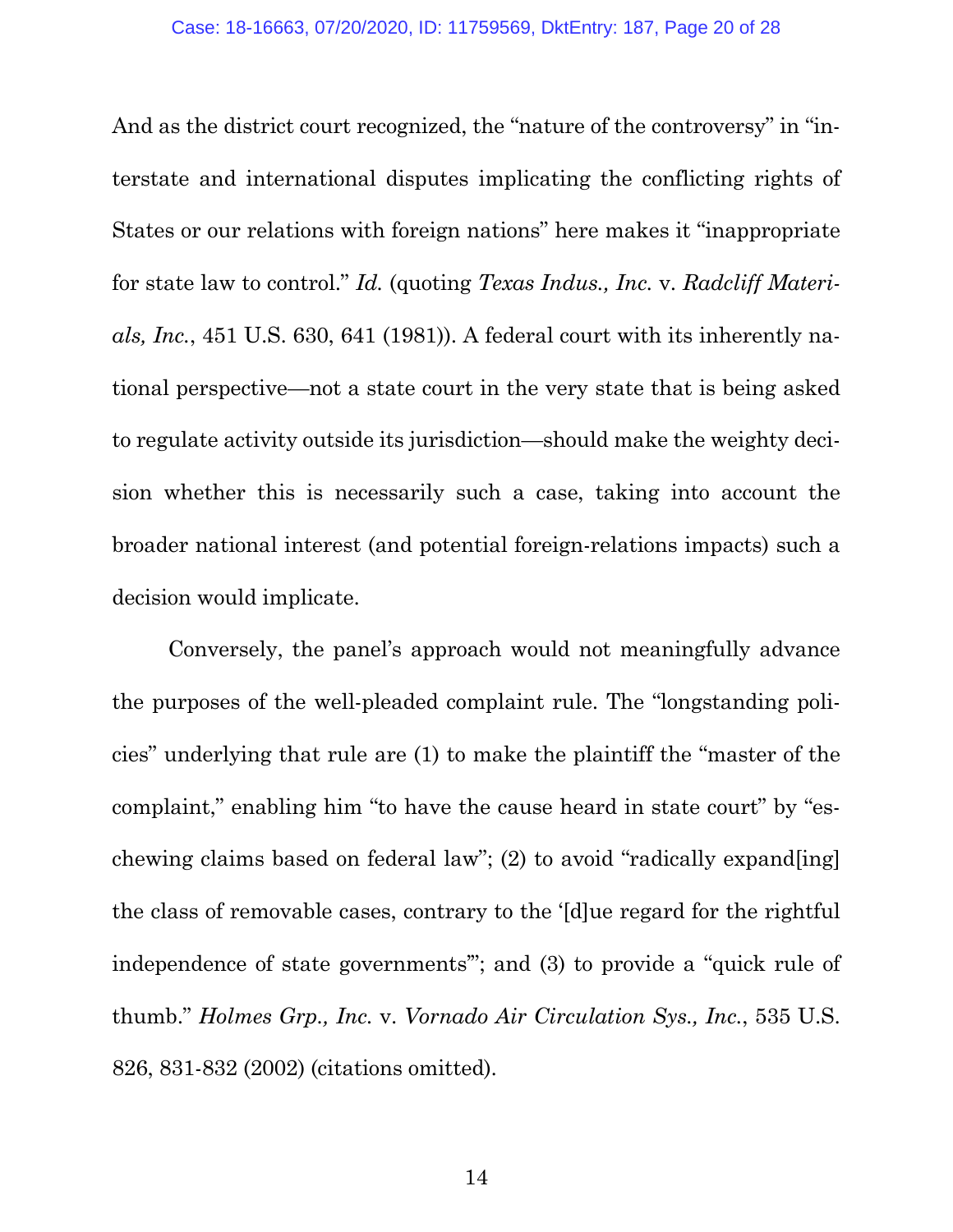And as the district court recognized, the "nature of the controversy" in "interstate and international disputes implicating the conflicting rights of States or our relations with foreign nations" here makes it "inappropriate for state law to control." *Id.* (quoting *Texas Indus., Inc.* v. *Radcliff Materials, Inc.*, 451 U.S. 630, 641 (1981)). A federal court with its inherently national perspective—not a state court in the very state that is being asked to regulate activity outside its jurisdiction—should make the weighty decision whether this is necessarily such a case, taking into account the broader national interest (and potential foreign-relations impacts) such a decision would implicate.

Conversely, the panel's approach would not meaningfully advance the purposes of the well-pleaded complaint rule. The "longstanding policies" underlying that rule are (1) to make the plaintiff the "master of the complaint," enabling him "to have the cause heard in state court" by "eschewing claims based on federal law"; (2) to avoid "radically expand[ing] the class of removable cases, contrary to the '[d]ue regard for the rightful independence of state governments'"; and (3) to provide a "quick rule of thumb." *Holmes Grp., Inc.* v. *Vornado Air Circulation Sys., Inc.*, 535 U.S. 826, 831-832 (2002) (citations omitted).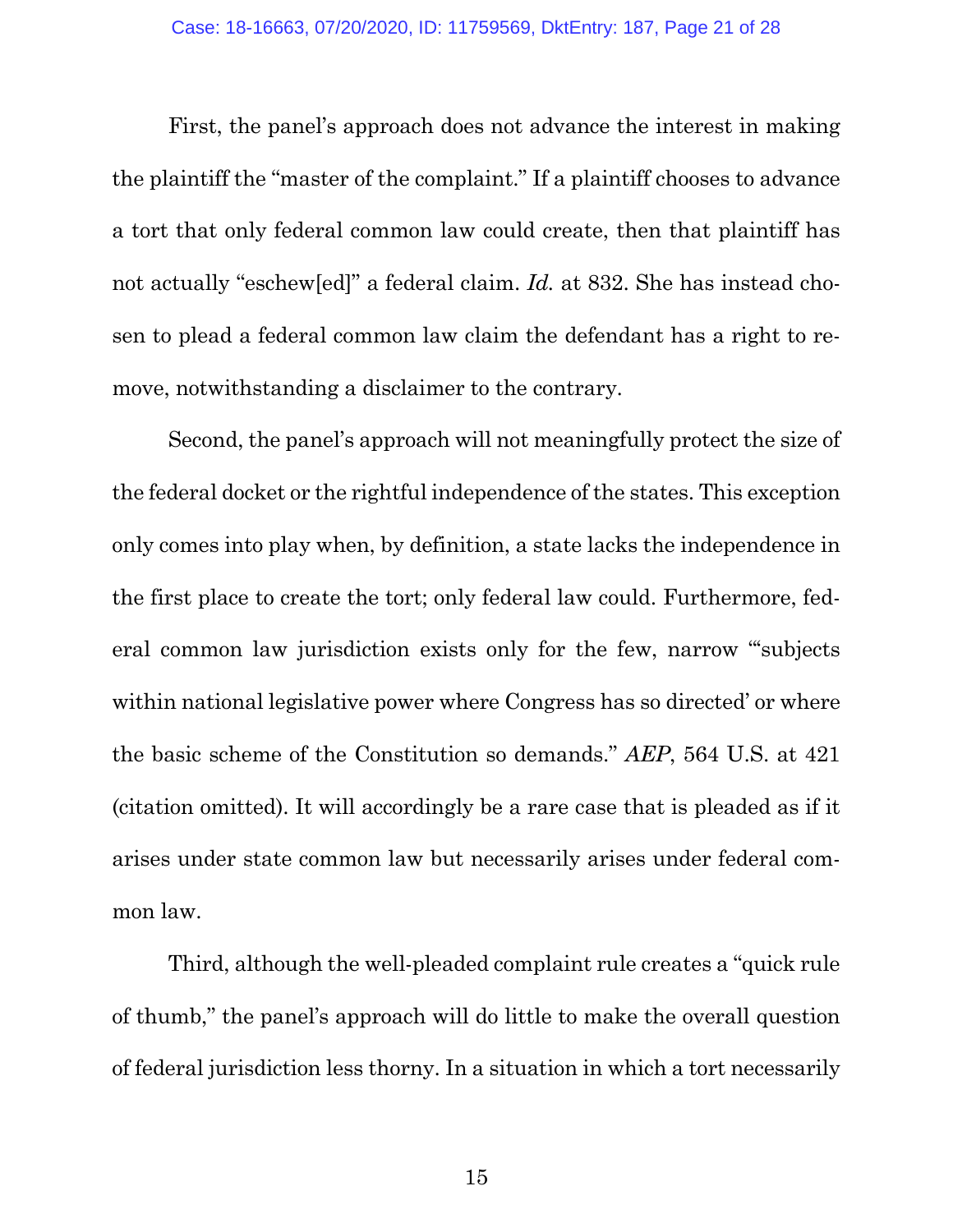First, the panel's approach does not advance the interest in making the plaintiff the "master of the complaint." If a plaintiff chooses to advance a tort that only federal common law could create, then that plaintiff has not actually "eschew[ed]" a federal claim. *Id.* at 832. She has instead chosen to plead a federal common law claim the defendant has a right to remove, notwithstanding a disclaimer to the contrary.

Second, the panel's approach will not meaningfully protect the size of the federal docket or the rightful independence of the states. This exception only comes into play when, by definition, a state lacks the independence in the first place to create the tort; only federal law could. Furthermore, federal common law jurisdiction exists only for the few, narrow "'subjects within national legislative power where Congress has so directed' or where the basic scheme of the Constitution so demands." *AEP*, 564 U.S. at 421 (citation omitted). It will accordingly be a rare case that is pleaded as if it arises under state common law but necessarily arises under federal common law.

Third, although the well-pleaded complaint rule creates a "quick rule of thumb," the panel's approach will do little to make the overall question of federal jurisdiction less thorny. In a situation in which a tort necessarily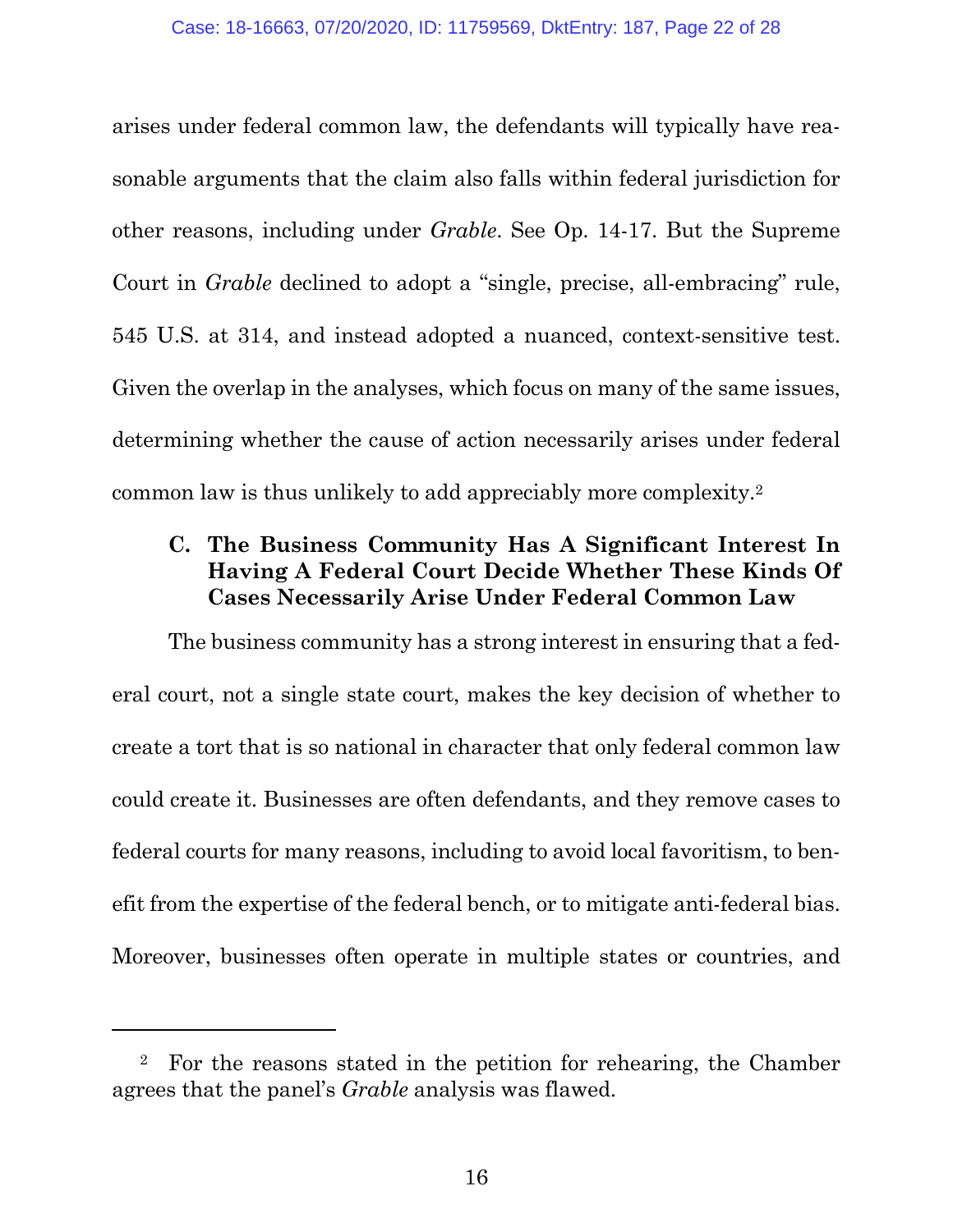arises under federal common law, the defendants will typically have reasonable arguments that the claim also falls within federal jurisdiction for other reasons, including under *Grable*. See Op. 14-17. But the Supreme Court in *Grable* declined to adopt a "single, precise, all-embracing" rule, 545 U.S. at 314, and instead adopted a nuanced, context-sensitive test. Given the overlap in the analyses, which focus on many of the same issues, determining whether the cause of action necessarily arises under federal common law is thus unlikely to add appreciably more complexity.2

### **C. The Business Community Has A Significant Interest In Having A Federal Court Decide Whether These Kinds Of Cases Necessarily Arise Under Federal Common Law**

The business community has a strong interest in ensuring that a federal court, not a single state court, makes the key decision of whether to create a tort that is so national in character that only federal common law could create it. Businesses are often defendants, and they remove cases to federal courts for many reasons, including to avoid local favoritism, to benefit from the expertise of the federal bench, or to mitigate anti-federal bias. Moreover, businesses often operate in multiple states or countries, and

 $\overline{a}$ 

<sup>2</sup> For the reasons stated in the petition for rehearing, the Chamber agrees that the panel's *Grable* analysis was flawed.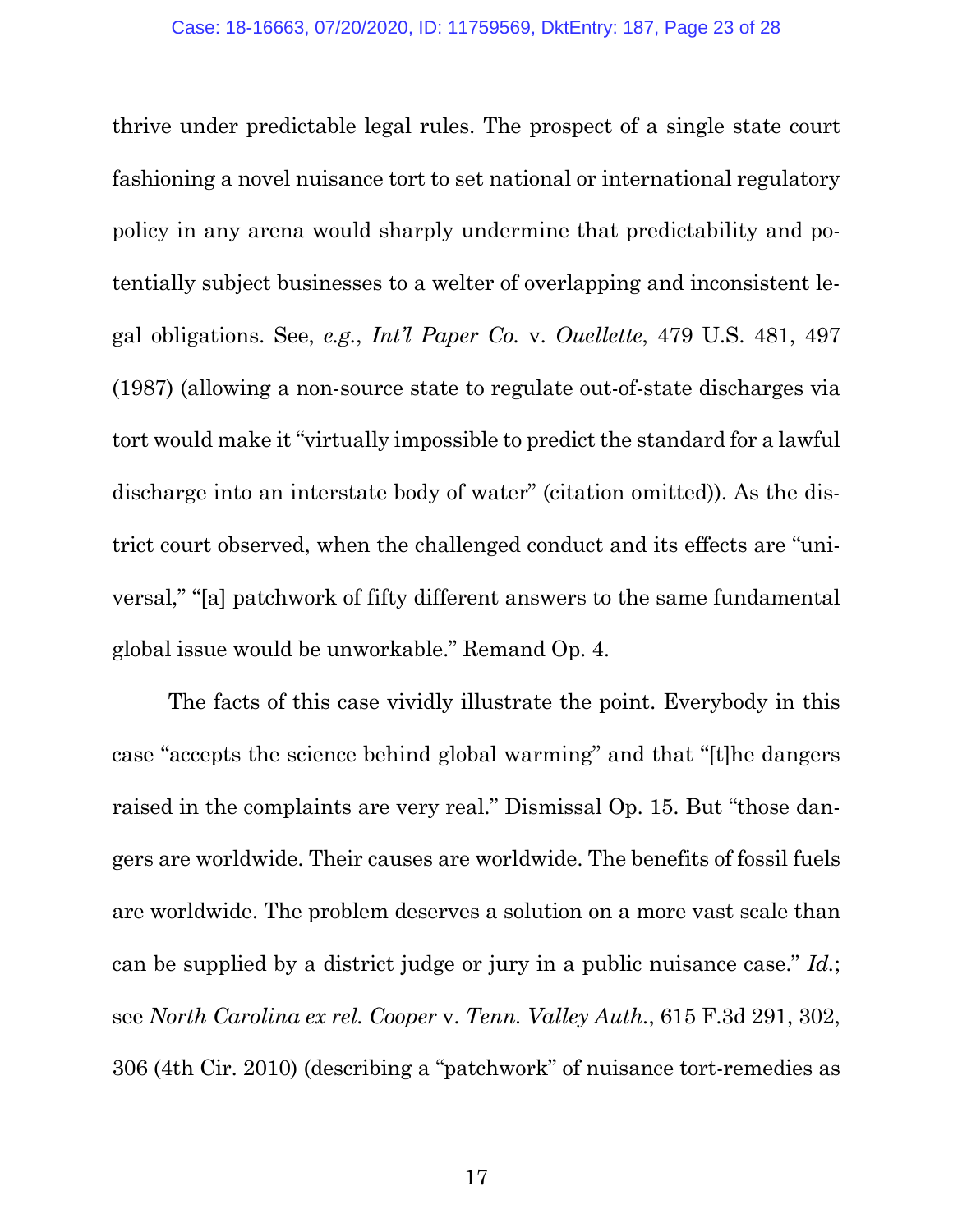thrive under predictable legal rules. The prospect of a single state court fashioning a novel nuisance tort to set national or international regulatory policy in any arena would sharply undermine that predictability and potentially subject businesses to a welter of overlapping and inconsistent legal obligations. See, *e.g.*, *Int'l Paper Co.* v. *Ouellette*, 479 U.S. 481, 497 (1987) (allowing a non-source state to regulate out-of-state discharges via tort would make it "virtually impossible to predict the standard for a lawful discharge into an interstate body of water" (citation omitted)). As the district court observed, when the challenged conduct and its effects are "universal," "[a] patchwork of fifty different answers to the same fundamental global issue would be unworkable." Remand Op. 4.

The facts of this case vividly illustrate the point. Everybody in this case "accepts the science behind global warming" and that "[t]he dangers raised in the complaints are very real." Dismissal Op. 15. But "those dangers are worldwide. Their causes are worldwide. The benefits of fossil fuels are worldwide. The problem deserves a solution on a more vast scale than can be supplied by a district judge or jury in a public nuisance case." *Id.*; see *North Carolina ex rel. Cooper* v. *Tenn. Valley Auth.*, 615 F.3d 291, 302, 306 (4th Cir. 2010) (describing a "patchwork" of nuisance tort-remedies as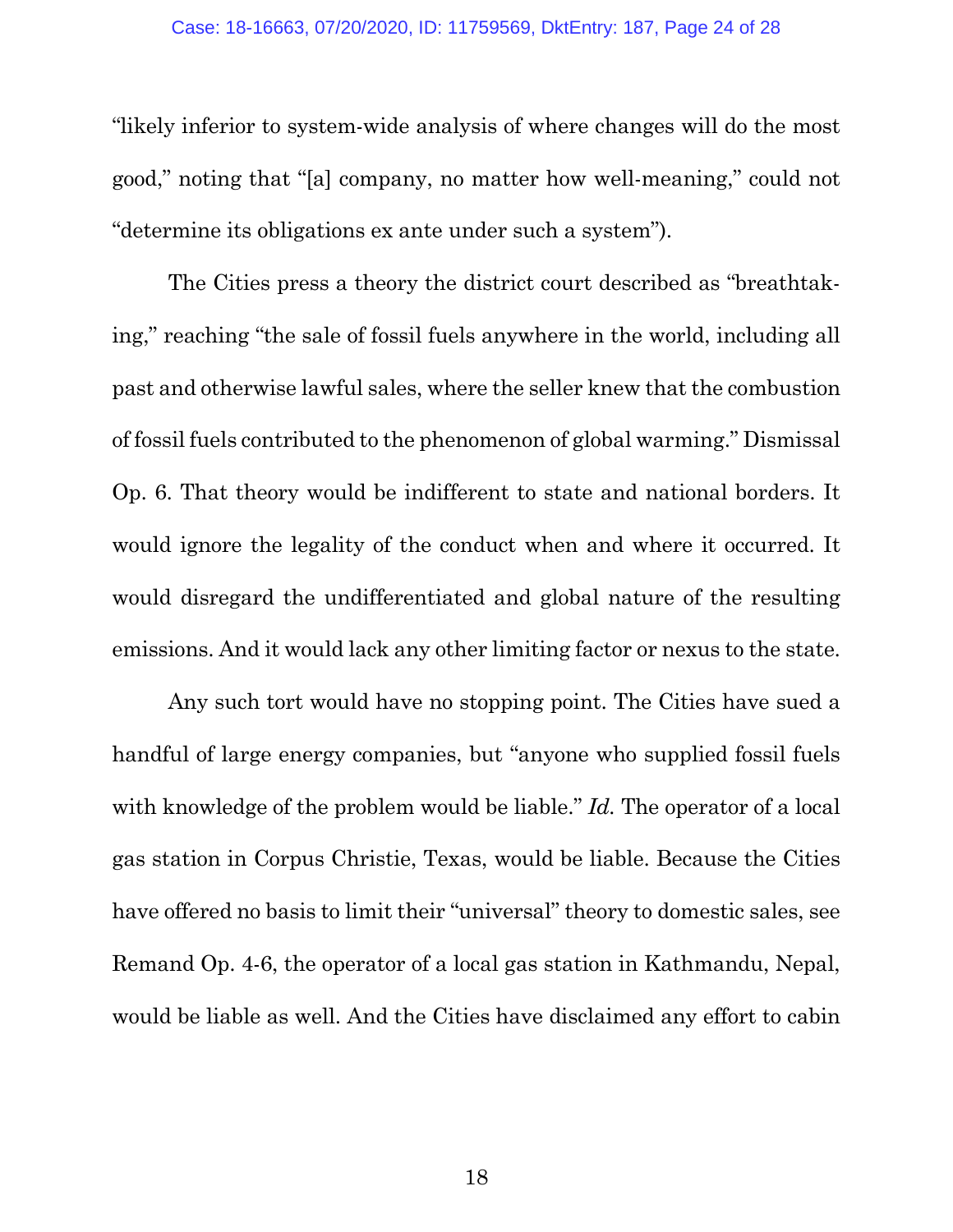"likely inferior to system-wide analysis of where changes will do the most good," noting that "[a] company, no matter how well-meaning," could not "determine its obligations ex ante under such a system").

The Cities press a theory the district court described as "breathtaking," reaching "the sale of fossil fuels anywhere in the world, including all past and otherwise lawful sales, where the seller knew that the combustion of fossil fuels contributed to the phenomenon of global warming." Dismissal Op. 6. That theory would be indifferent to state and national borders. It would ignore the legality of the conduct when and where it occurred. It would disregard the undifferentiated and global nature of the resulting emissions. And it would lack any other limiting factor or nexus to the state.

Any such tort would have no stopping point. The Cities have sued a handful of large energy companies, but "anyone who supplied fossil fuels with knowledge of the problem would be liable." *Id.* The operator of a local gas station in Corpus Christie, Texas, would be liable. Because the Cities have offered no basis to limit their "universal" theory to domestic sales, see Remand Op. 4-6, the operator of a local gas station in Kathmandu, Nepal, would be liable as well. And the Cities have disclaimed any effort to cabin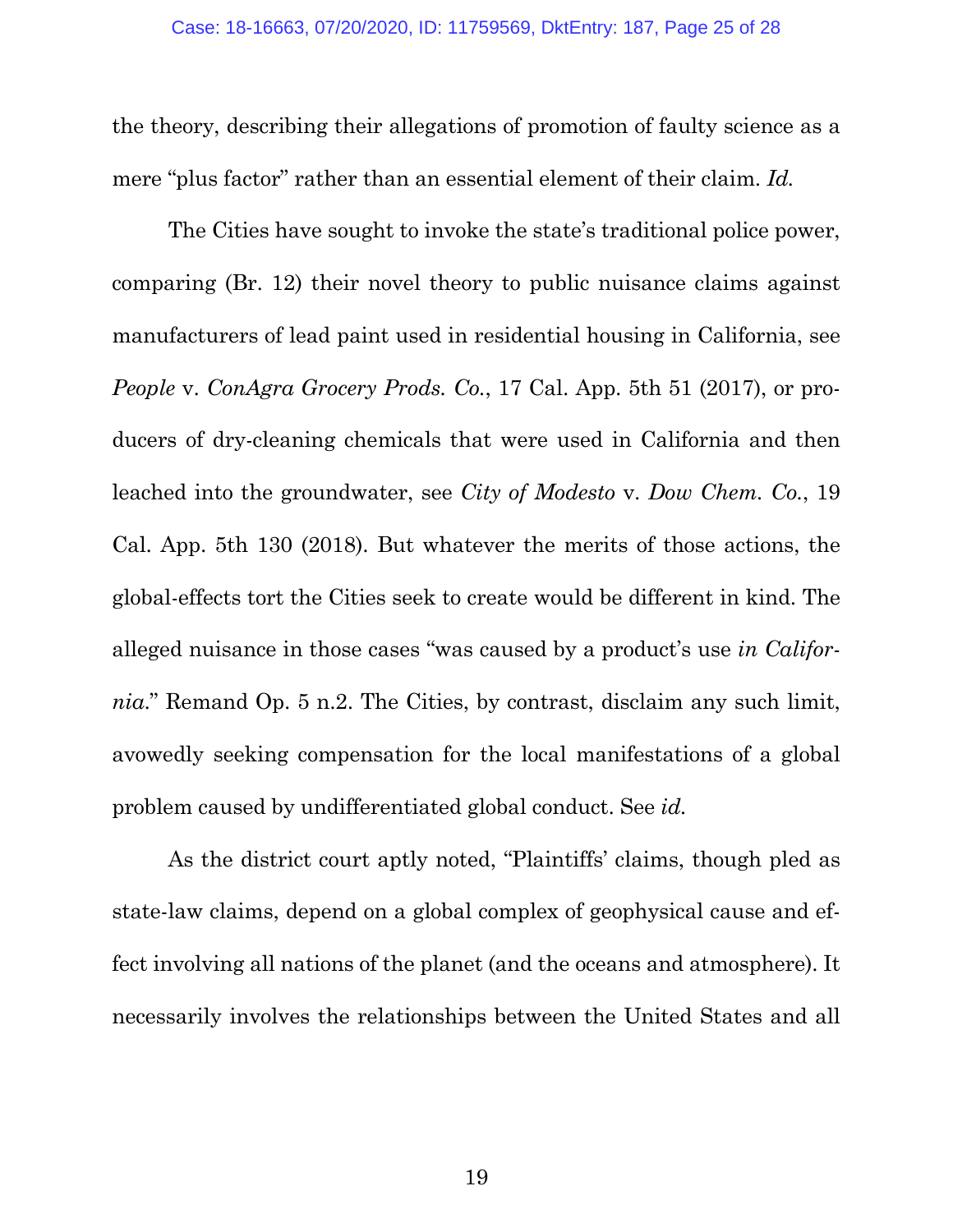the theory, describing their allegations of promotion of faulty science as a mere "plus factor" rather than an essential element of their claim. *Id.* 

The Cities have sought to invoke the state's traditional police power, comparing (Br. 12) their novel theory to public nuisance claims against manufacturers of lead paint used in residential housing in California, see *People* v. *ConAgra Grocery Prods. Co.*, 17 Cal. App. 5th 51 (2017), or producers of dry-cleaning chemicals that were used in California and then leached into the groundwater, see *City of Modesto* v. *Dow Chem. Co.*, 19 Cal. App. 5th 130 (2018). But whatever the merits of those actions, the global-effects tort the Cities seek to create would be different in kind. The alleged nuisance in those cases "was caused by a product's use *in California*." Remand Op. 5 n.2. The Cities, by contrast, disclaim any such limit, avowedly seeking compensation for the local manifestations of a global problem caused by undifferentiated global conduct. See *id.*

As the district court aptly noted, "Plaintiffs' claims, though pled as state-law claims, depend on a global complex of geophysical cause and effect involving all nations of the planet (and the oceans and atmosphere). It necessarily involves the relationships between the United States and all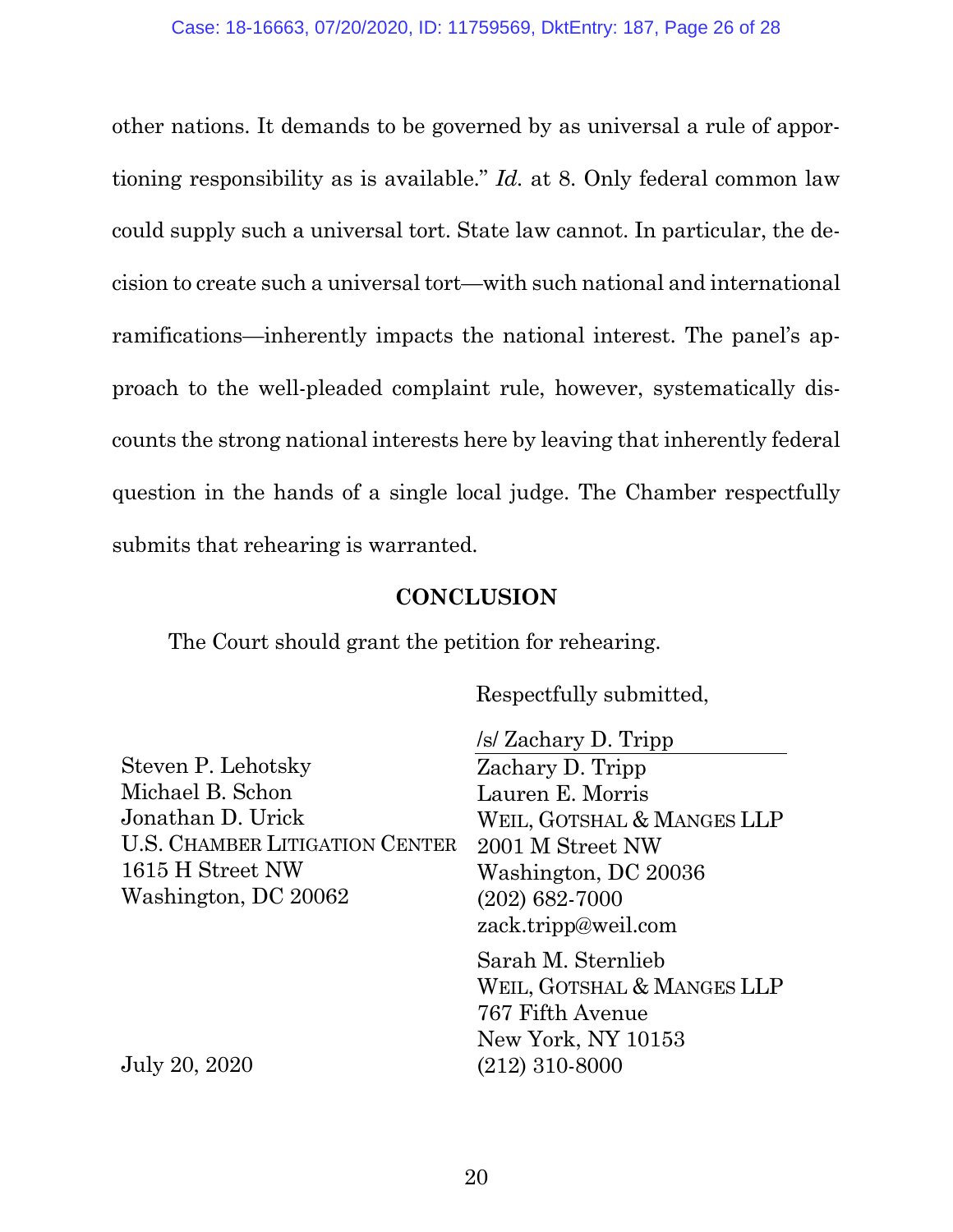other nations. It demands to be governed by as universal a rule of apportioning responsibility as is available." *Id.* at 8. Only federal common law could supply such a universal tort. State law cannot. In particular, the decision to create such a universal tort—with such national and international ramifications—inherently impacts the national interest. The panel's approach to the well-pleaded complaint rule, however, systematically discounts the strong national interests here by leaving that inherently federal question in the hands of a single local judge. The Chamber respectfully submits that rehearing is warranted.

#### **CONCLUSION**

The Court should grant the petition for rehearing.

Respectfully submitted,

Steven P. Lehotsky Michael B. Schon Jonathan D. Urick U.S. CHAMBER LITIGATION CENTER 1615 H Street NW Washington, DC 20062

/s/ Zachary D. Tripp

Zachary D. Tripp Lauren E. Morris WEIL, GOTSHAL & MANGES LLP 2001 M Street NW Washington, DC 20036 (202) 682-7000 zack.tripp@weil.com

Sarah M. Sternlieb WEIL, GOTSHAL & MANGES LLP 767 Fifth Avenue New York, NY 10153 (212) 310-8000

July 20, 2020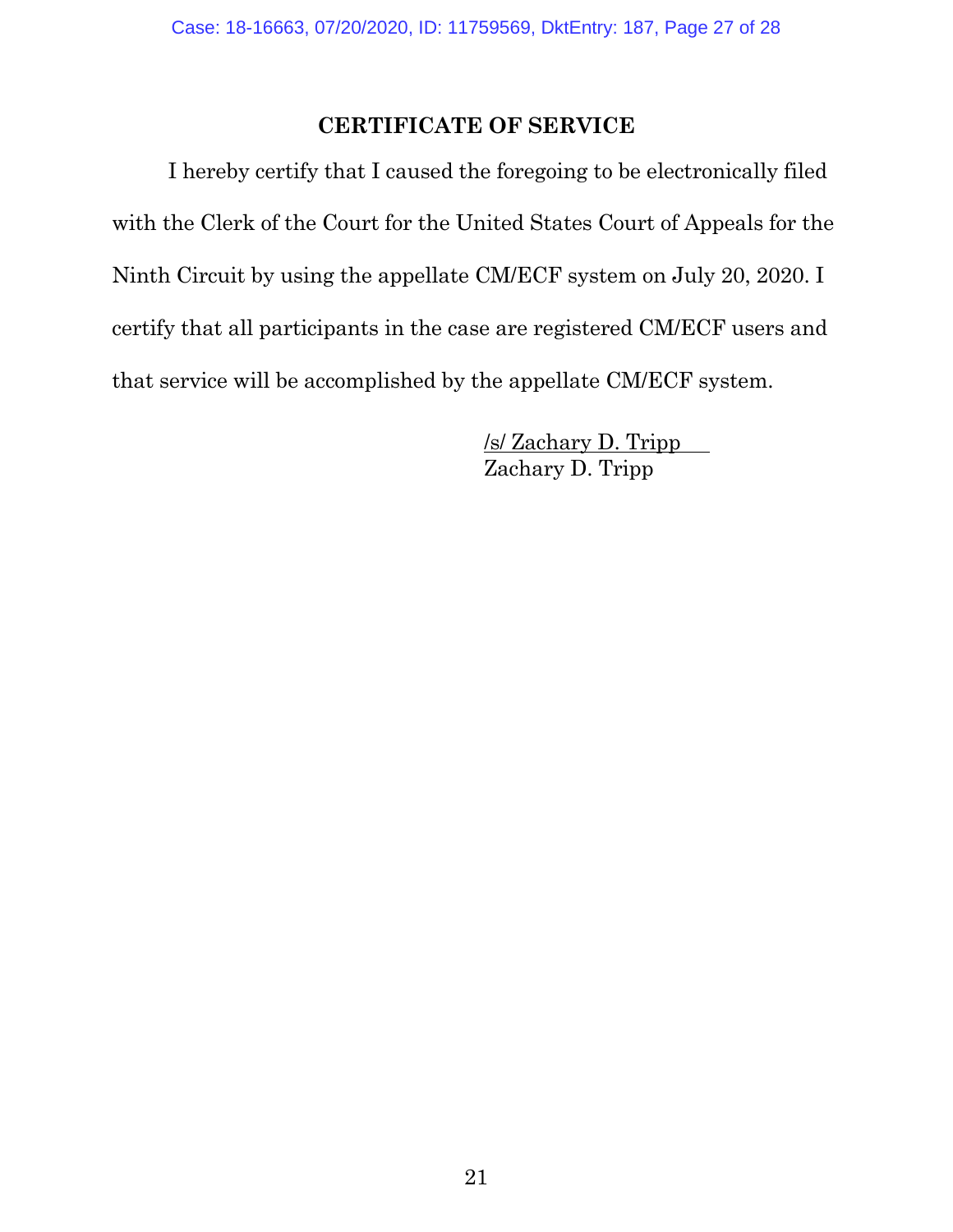### **CERTIFICATE OF SERVICE**

I hereby certify that I caused the foregoing to be electronically filed with the Clerk of the Court for the United States Court of Appeals for the Ninth Circuit by using the appellate CM/ECF system on July 20, 2020. I certify that all participants in the case are registered CM/ECF users and that service will be accomplished by the appellate CM/ECF system.

> /s/ Zachary D. Tripp Zachary D. Tripp